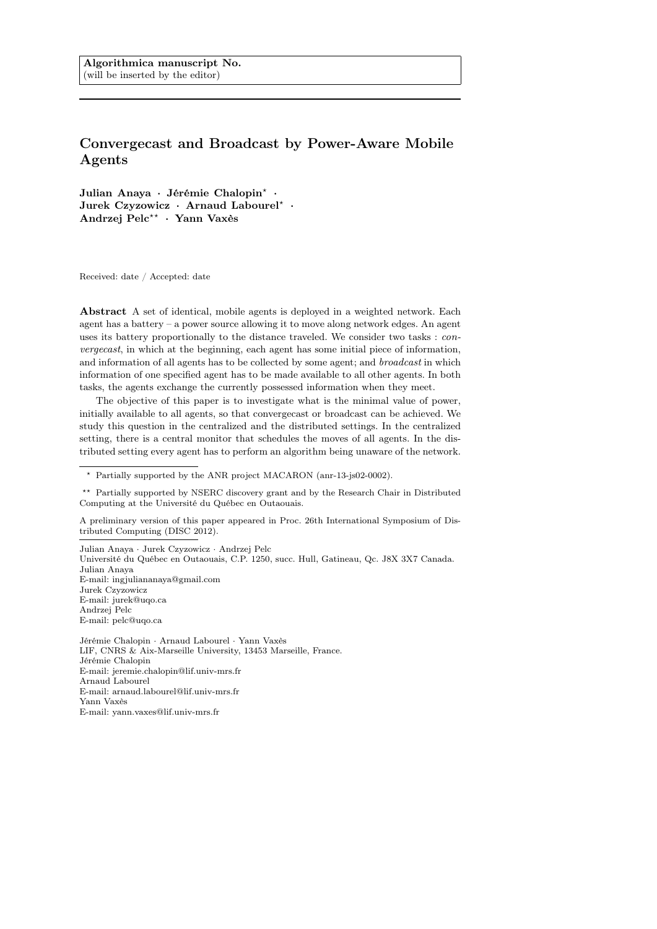# Convergecast and Broadcast by Power-Aware Mobile Agents

Julian Anaya · Jérémie Chalopin<sup>\*</sup> · Jurek Czyzowicz · Arnaud Labourel? · Andrzej Pelc<sup>\*\*</sup> · Yann Vaxès

Received: date / Accepted: date

Abstract A set of identical, mobile agents is deployed in a weighted network. Each agent has a battery – a power source allowing it to move along network edges. An agent uses its battery proportionally to the distance traveled. We consider two tasks : convergecast, in which at the beginning, each agent has some initial piece of information, and information of all agents has to be collected by some agent; and *broadcast* in which information of one specified agent has to be made available to all other agents. In both tasks, the agents exchange the currently possessed information when they meet.

The objective of this paper is to investigate what is the minimal value of power, initially available to all agents, so that convergecast or broadcast can be achieved. We study this question in the centralized and the distributed settings. In the centralized setting, there is a central monitor that schedules the moves of all agents. In the distributed setting every agent has to perform an algorithm being unaware of the network.

Julian Anaya · Jurek Czyzowicz · Andrzej Pelc Université du Québec en Outaouais, C.P. 1250, succ. Hull, Gatineau, Qc. J8X 3X7 Canada. Julian Anaya E-mail: ingjuliananaya@gmail.com Jurek Czyzowicz E-mail: jurek@uqo.ca Andrzej Pelc E-mail: pelc@uqo.ca

Jérémie Chalopin · Arnaud Labourel · Yann Vaxès LIF, CNRS & Aix-Marseille University, 13453 Marseille, France. Jérémie Chalopin E-mail: jeremie.chalopin@lif.univ-mrs.fr Arnaud Labourel E-mail: arnaud.labourel@lif.univ-mrs.fr Yann Vaxès E-mail: yann.vaxes@lif.univ-mrs.fr

<sup>?</sup> Partially supported by the ANR project MACARON (anr-13-js02-0002).

 $^{\star\star}$  Partially supported by NSERC discovery grant and by the Research Chair in Distributed Computing at the Université du Québec en Outaouais.

A preliminary version of this paper appeared in Proc. 26th International Symposium of Distributed Computing (DISC 2012).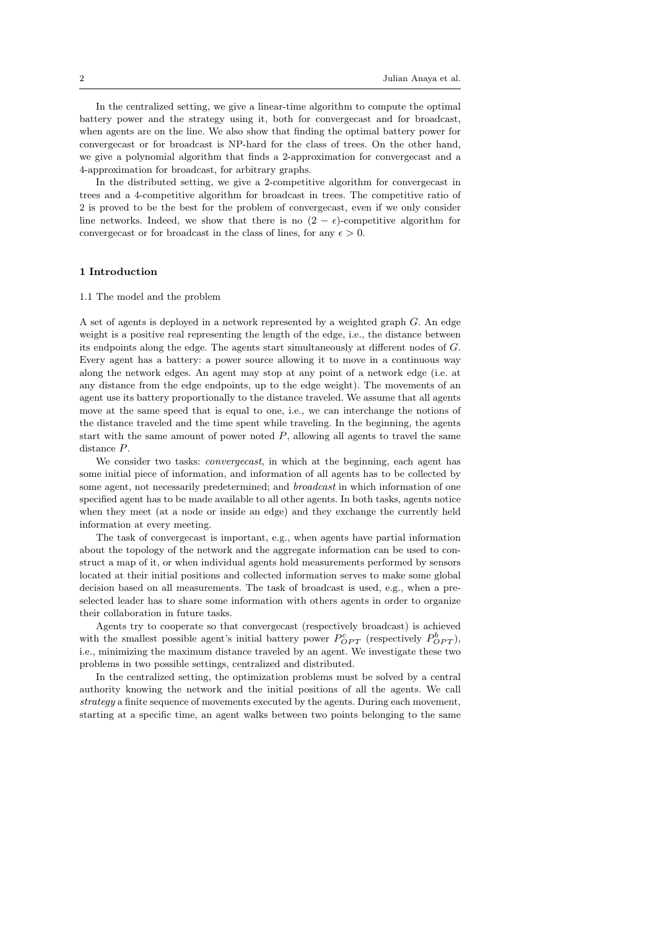In the centralized setting, we give a linear-time algorithm to compute the optimal battery power and the strategy using it, both for convergecast and for broadcast, when agents are on the line. We also show that finding the optimal battery power for convergecast or for broadcast is NP-hard for the class of trees. On the other hand, we give a polynomial algorithm that finds a 2-approximation for convergecast and a 4-approximation for broadcast, for arbitrary graphs.

In the distributed setting, we give a 2-competitive algorithm for convergecast in trees and a 4-competitive algorithm for broadcast in trees. The competitive ratio of 2 is proved to be the best for the problem of convergecast, even if we only consider line networks. Indeed, we show that there is no  $(2 - \epsilon)$ -competitive algorithm for convergecast or for broadcast in the class of lines, for any  $\epsilon > 0$ .

# 1 Introduction

# 1.1 The model and the problem

A set of agents is deployed in a network represented by a weighted graph G. An edge weight is a positive real representing the length of the edge, i.e., the distance between its endpoints along the edge. The agents start simultaneously at different nodes of G. Every agent has a battery: a power source allowing it to move in a continuous way along the network edges. An agent may stop at any point of a network edge (i.e. at any distance from the edge endpoints, up to the edge weight). The movements of an agent use its battery proportionally to the distance traveled. We assume that all agents move at the same speed that is equal to one, i.e., we can interchange the notions of the distance traveled and the time spent while traveling. In the beginning, the agents start with the same amount of power noted  $P$ , allowing all agents to travel the same distance P.

We consider two tasks: *convergecast*, in which at the beginning, each agent has some initial piece of information, and information of all agents has to be collected by some agent, not necessarily predetermined; and broadcast in which information of one specified agent has to be made available to all other agents. In both tasks, agents notice when they meet (at a node or inside an edge) and they exchange the currently held information at every meeting.

The task of convergecast is important, e.g., when agents have partial information about the topology of the network and the aggregate information can be used to construct a map of it, or when individual agents hold measurements performed by sensors located at their initial positions and collected information serves to make some global decision based on all measurements. The task of broadcast is used, e.g., when a preselected leader has to share some information with others agents in order to organize their collaboration in future tasks.

Agents try to cooperate so that convergecast (respectively broadcast) is achieved with the smallest possible agent's initial battery power  $P_{OPT}^c$  (respectively  $P_{OPT}^b$ ), i.e., minimizing the maximum distance traveled by an agent. We investigate these two problems in two possible settings, centralized and distributed.

In the centralized setting, the optimization problems must be solved by a central authority knowing the network and the initial positions of all the agents. We call strategy a finite sequence of movements executed by the agents. During each movement, starting at a specific time, an agent walks between two points belonging to the same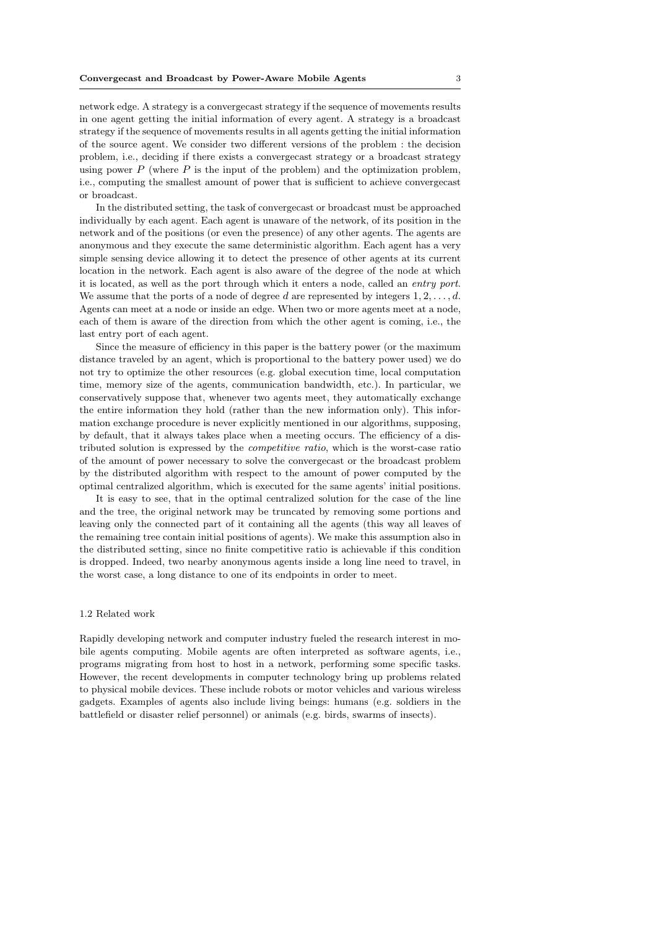network edge. A strategy is a convergecast strategy if the sequence of movements results in one agent getting the initial information of every agent. A strategy is a broadcast strategy if the sequence of movements results in all agents getting the initial information of the source agent. We consider two different versions of the problem : the decision problem, i.e., deciding if there exists a convergecast strategy or a broadcast strategy using power  $P$  (where  $P$  is the input of the problem) and the optimization problem, i.e., computing the smallest amount of power that is sufficient to achieve convergecast

In the distributed setting, the task of convergecast or broadcast must be approached individually by each agent. Each agent is unaware of the network, of its position in the network and of the positions (or even the presence) of any other agents. The agents are anonymous and they execute the same deterministic algorithm. Each agent has a very simple sensing device allowing it to detect the presence of other agents at its current location in the network. Each agent is also aware of the degree of the node at which it is located, as well as the port through which it enters a node, called an entry port. We assume that the ports of a node of degree d are represented by integers  $1, 2, \ldots, d$ . Agents can meet at a node or inside an edge. When two or more agents meet at a node, each of them is aware of the direction from which the other agent is coming, i.e., the last entry port of each agent.

Since the measure of efficiency in this paper is the battery power (or the maximum distance traveled by an agent, which is proportional to the battery power used) we do not try to optimize the other resources (e.g. global execution time, local computation time, memory size of the agents, communication bandwidth, etc.). In particular, we conservatively suppose that, whenever two agents meet, they automatically exchange the entire information they hold (rather than the new information only). This information exchange procedure is never explicitly mentioned in our algorithms, supposing, by default, that it always takes place when a meeting occurs. The efficiency of a distributed solution is expressed by the competitive ratio, which is the worst-case ratio of the amount of power necessary to solve the convergecast or the broadcast problem by the distributed algorithm with respect to the amount of power computed by the optimal centralized algorithm, which is executed for the same agents' initial positions.

It is easy to see, that in the optimal centralized solution for the case of the line and the tree, the original network may be truncated by removing some portions and leaving only the connected part of it containing all the agents (this way all leaves of the remaining tree contain initial positions of agents). We make this assumption also in the distributed setting, since no finite competitive ratio is achievable if this condition is dropped. Indeed, two nearby anonymous agents inside a long line need to travel, in the worst case, a long distance to one of its endpoints in order to meet.

# 1.2 Related work

or broadcast.

Rapidly developing network and computer industry fueled the research interest in mobile agents computing. Mobile agents are often interpreted as software agents, i.e., programs migrating from host to host in a network, performing some specific tasks. However, the recent developments in computer technology bring up problems related to physical mobile devices. These include robots or motor vehicles and various wireless gadgets. Examples of agents also include living beings: humans (e.g. soldiers in the battlefield or disaster relief personnel) or animals (e.g. birds, swarms of insects).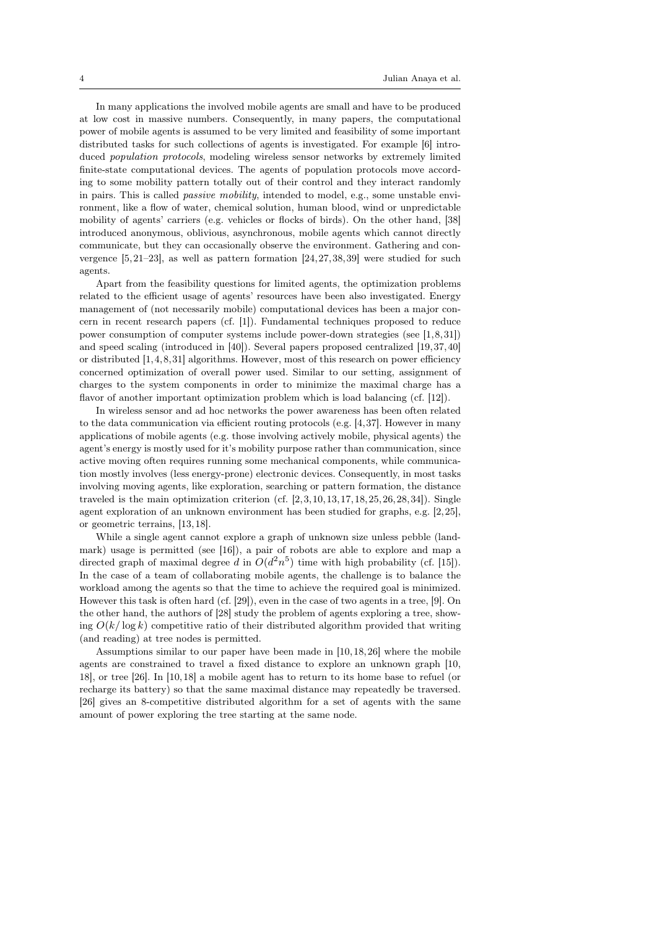In many applications the involved mobile agents are small and have to be produced at low cost in massive numbers. Consequently, in many papers, the computational power of mobile agents is assumed to be very limited and feasibility of some important distributed tasks for such collections of agents is investigated. For example [6] introduced population protocols, modeling wireless sensor networks by extremely limited finite-state computational devices. The agents of population protocols move according to some mobility pattern totally out of their control and they interact randomly in pairs. This is called passive mobility, intended to model, e.g., some unstable environment, like a flow of water, chemical solution, human blood, wind or unpredictable mobility of agents' carriers (e.g. vehicles or flocks of birds). On the other hand, [38] introduced anonymous, oblivious, asynchronous, mobile agents which cannot directly communicate, but they can occasionally observe the environment. Gathering and convergence [5,21–23], as well as pattern formation [24,27, 38, 39] were studied for such agents.

Apart from the feasibility questions for limited agents, the optimization problems related to the efficient usage of agents' resources have been also investigated. Energy management of (not necessarily mobile) computational devices has been a major concern in recent research papers (cf. [1]). Fundamental techniques proposed to reduce power consumption of computer systems include power-down strategies (see [1, 8, 31]) and speed scaling (introduced in [40]). Several papers proposed centralized [19, 37, 40] or distributed [1, 4,8, 31] algorithms. However, most of this research on power efficiency concerned optimization of overall power used. Similar to our setting, assignment of charges to the system components in order to minimize the maximal charge has a flavor of another important optimization problem which is load balancing (cf. [12]).

In wireless sensor and ad hoc networks the power awareness has been often related to the data communication via efficient routing protocols (e.g. [4,37]. However in many applications of mobile agents (e.g. those involving actively mobile, physical agents) the agent's energy is mostly used for it's mobility purpose rather than communication, since active moving often requires running some mechanical components, while communication mostly involves (less energy-prone) electronic devices. Consequently, in most tasks involving moving agents, like exploration, searching or pattern formation, the distance traveled is the main optimization criterion (cf.  $[2,3,10,13,17,18,25,26,28,34]$ ). Single agent exploration of an unknown environment has been studied for graphs, e.g. [2, 25], or geometric terrains, [13, 18].

While a single agent cannot explore a graph of unknown size unless pebble (landmark) usage is permitted (see [16]), a pair of robots are able to explore and map a directed graph of maximal degree d in  $O(d^2n^5)$  time with high probability (cf. [15]). In the case of a team of collaborating mobile agents, the challenge is to balance the workload among the agents so that the time to achieve the required goal is minimized. However this task is often hard (cf. [29]), even in the case of two agents in a tree, [9]. On the other hand, the authors of [28] study the problem of agents exploring a tree, showing  $O(k/\log k)$  competitive ratio of their distributed algorithm provided that writing (and reading) at tree nodes is permitted.

Assumptions similar to our paper have been made in [10, 18, 26] where the mobile agents are constrained to travel a fixed distance to explore an unknown graph [10, 18], or tree [26]. In [10, 18] a mobile agent has to return to its home base to refuel (or recharge its battery) so that the same maximal distance may repeatedly be traversed. [26] gives an 8-competitive distributed algorithm for a set of agents with the same amount of power exploring the tree starting at the same node.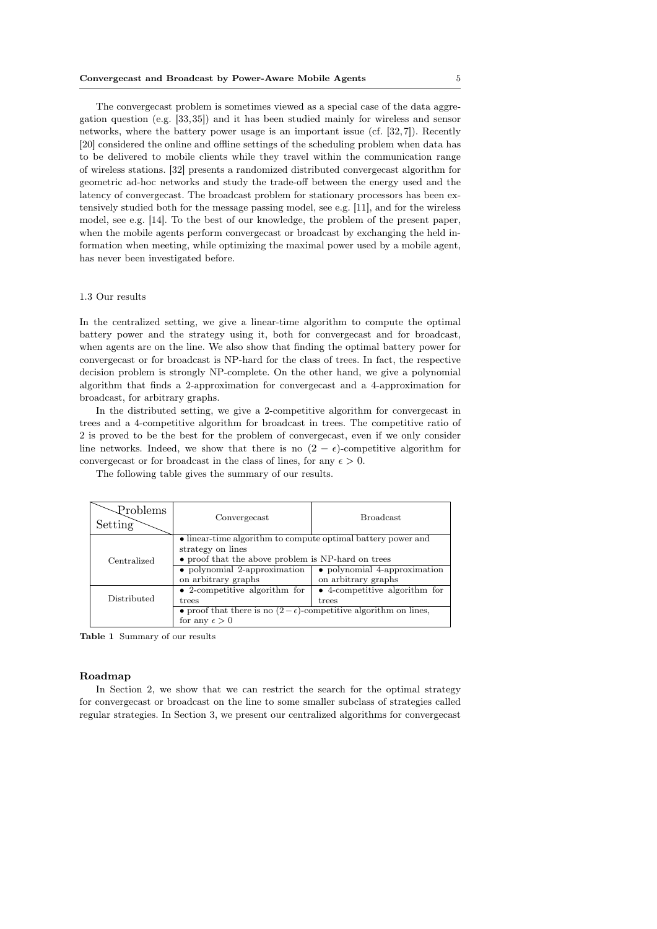The convergecast problem is sometimes viewed as a special case of the data aggregation question (e.g. [33,35]) and it has been studied mainly for wireless and sensor networks, where the battery power usage is an important issue (cf. [32, 7]). Recently [20] considered the online and offline settings of the scheduling problem when data has to be delivered to mobile clients while they travel within the communication range of wireless stations. [32] presents a randomized distributed convergecast algorithm for geometric ad-hoc networks and study the trade-off between the energy used and the latency of convergecast. The broadcast problem for stationary processors has been extensively studied both for the message passing model, see e.g. [11], and for the wireless model, see e.g. [14]. To the best of our knowledge, the problem of the present paper, when the mobile agents perform convergecast or broadcast by exchanging the held information when meeting, while optimizing the maximal power used by a mobile agent, has never been investigated before.

# 1.3 Our results

In the centralized setting, we give a linear-time algorithm to compute the optimal battery power and the strategy using it, both for convergecast and for broadcast, when agents are on the line. We also show that finding the optimal battery power for convergecast or for broadcast is NP-hard for the class of trees. In fact, the respective decision problem is strongly NP-complete. On the other hand, we give a polynomial algorithm that finds a 2-approximation for convergecast and a 4-approximation for broadcast, for arbitrary graphs.

In the distributed setting, we give a 2-competitive algorithm for convergecast in trees and a 4-competitive algorithm for broadcast in trees. The competitive ratio of 2 is proved to be the best for the problem of convergecast, even if we only consider line networks. Indeed, we show that there is no  $(2 - \epsilon)$ -competitive algorithm for convergecast or for broadcast in the class of lines, for any  $\epsilon > 0$ .

The following table gives the summary of our results.

| Problems<br>Setting | Convergecast                                                                                                                            | <b>Broadcast</b>                                    |
|---------------------|-----------------------------------------------------------------------------------------------------------------------------------------|-----------------------------------------------------|
| Centralized         | • linear-time algorithm to compute optimal battery power and<br>strategy on lines<br>• proof that the above problem is NP-hard on trees |                                                     |
|                     | $\bullet$ polynomial 2-approximation<br>on arbitrary graphs                                                                             | • polynomial 4-approximation<br>on arbitrary graphs |
| Distributed         | $\bullet$ 2-competitive algorithm for<br>trees                                                                                          | • 4-competitive algorithm for<br>trees              |
|                     | • proof that there is no $(2 - \epsilon)$ -competitive algorithm on lines,<br>for any $\epsilon > 0$                                    |                                                     |

Table 1 Summary of our results

## Roadmap

In Section 2, we show that we can restrict the search for the optimal strategy for convergecast or broadcast on the line to some smaller subclass of strategies called regular strategies. In Section 3, we present our centralized algorithms for convergecast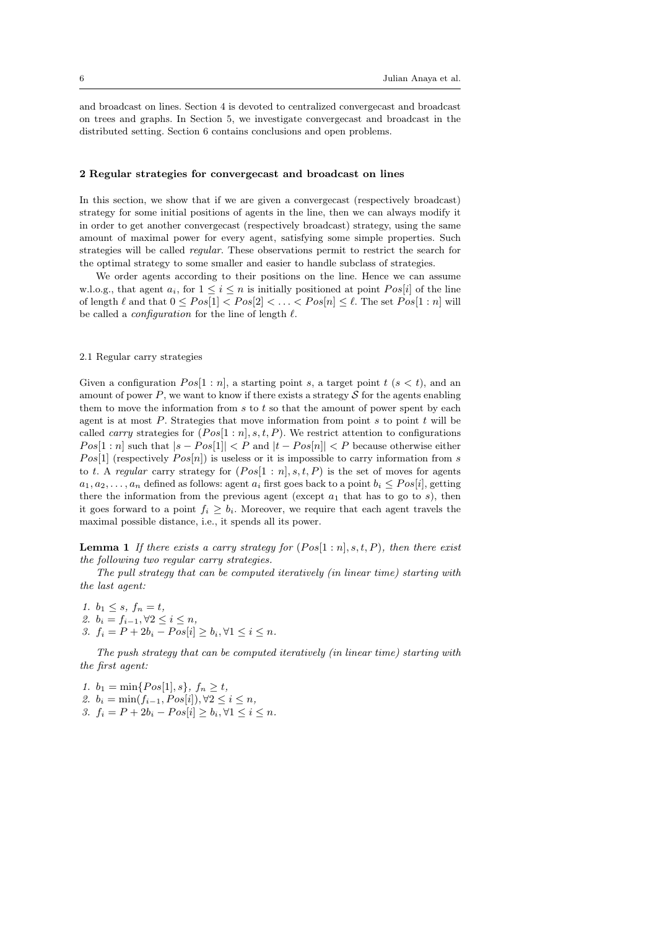and broadcast on lines. Section 4 is devoted to centralized convergecast and broadcast on trees and graphs. In Section 5, we investigate convergecast and broadcast in the distributed setting. Section 6 contains conclusions and open problems.

### 2 Regular strategies for convergecast and broadcast on lines

In this section, we show that if we are given a convergecast (respectively broadcast) strategy for some initial positions of agents in the line, then we can always modify it in order to get another convergecast (respectively broadcast) strategy, using the same amount of maximal power for every agent, satisfying some simple properties. Such strategies will be called regular. These observations permit to restrict the search for the optimal strategy to some smaller and easier to handle subclass of strategies.

We order agents according to their positions on the line. Hence we can assume w.l.o.g., that agent  $a_i$ , for  $1 \leq i \leq n$  is initially positioned at point  $Pos[i]$  of the line of length  $\ell$  and that  $0 \le Pos[1] < Pos[2] < \ldots < Pos[n] \le \ell$ . The set  $Pos[1:n]$  will be called a *configuration* for the line of length  $\ell$ .

#### 2.1 Regular carry strategies

Given a configuration  $Pos[1:n]$ , a starting point s, a target point  $t (s < t)$ , and an amount of power  $P$ , we want to know if there exists a strategy  $S$  for the agents enabling them to move the information from  $s$  to  $t$  so that the amount of power spent by each agent is at most  $P$ . Strategies that move information from point  $s$  to point  $t$  will be called *carry* strategies for  $(Pos[1:n], s, t, P)$ . We restrict attention to configurations  $Pos[1:n]$  such that  $|s - Pos[1]| < P$  and  $|t - Pos[n]| < P$  because otherwise either Pos[1] (respectively  $Pos[n]$ ) is useless or it is impossible to carry information from s to t. A regular carry strategy for  $(Pos[1:n], s, t, P)$  is the set of moves for agents  $a_1, a_2, \ldots, a_n$  defined as follows: agent  $a_i$  first goes back to a point  $b_i \leq Pos[i]$ , getting there the information from the previous agent (except  $a_1$  that has to go to s), then it goes forward to a point  $f_i \geq b_i$ . Moreover, we require that each agent travels the maximal possible distance, i.e., it spends all its power.

**Lemma 1** If there exists a carry strategy for  $(Pos[1:n], s, t, P)$ , then there exist the following two regular carry strategies.

The pull strategy that can be computed iteratively (in linear time) starting with the last agent:

1.  $b_1 \leq s$ ,  $f_n = t$ , 2.  $b_i = f_{i-1}, \forall 2 \leq i \leq n$ , 3.  $f_i = P + 2b_i - Pos[i] \ge b_i, \forall 1 \le i \le n$ .

The push strategy that can be computed iteratively (in linear time) starting with the first agent:

1.  $b_1 = \min\{Pos[1], s\}, f_n \ge t$ , 2.  $b_i = \min(f_{i-1}, Pos[i]), \forall 2 \leq i \leq n,$ 3.  $f_i = P + 2b_i - Pos[i] \ge b_i, \forall 1 \le i \le n$ .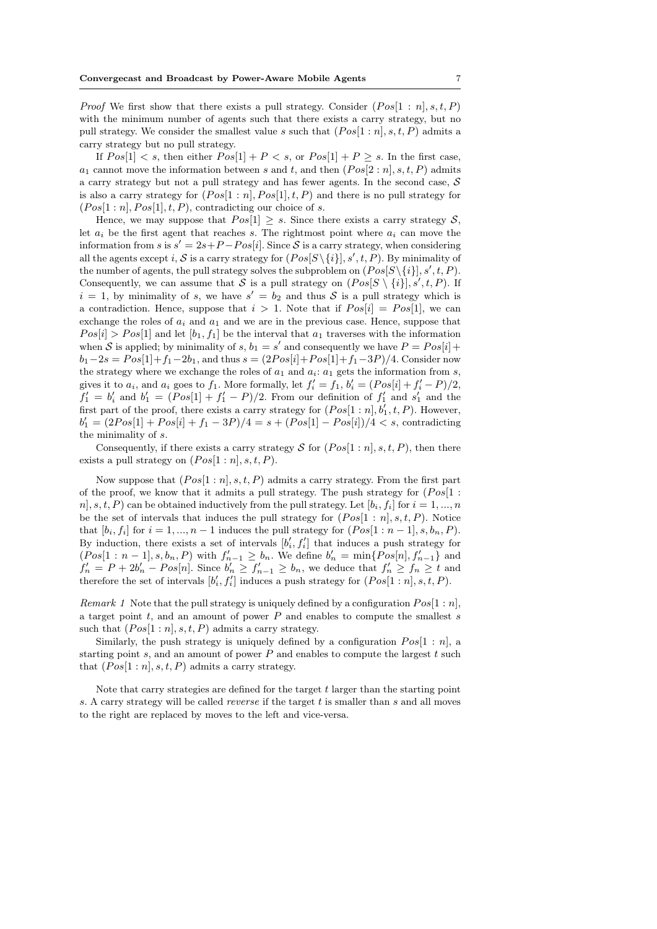*Proof* We first show that there exists a pull strategy. Consider  $(Pos[1:n], s, t, P)$ with the minimum number of agents such that there exists a carry strategy, but no pull strategy. We consider the smallest value s such that  $(Pos[1:n], s, t, P)$  admits a carry strategy but no pull strategy.

If  $Pos[1] < s$ , then either  $Pos[1] + P < s$ , or  $Pos[1] + P \geq s$ . In the first case,  $a_1$  cannot move the information between s and t, and then  $(Pos[2:n], s, t, P)$  admits a carry strategy but not a pull strategy and has fewer agents. In the second case,  $S$ is also a carry strategy for  $(Pos[1:n], Pos[1], t, P)$  and there is no pull strategy for  $(Pos[1:n], Pos[1], t, P)$ , contradicting our choice of s.

Hence, we may suppose that  $Pos[1] \geq s$ . Since there exists a carry strategy  $\mathcal{S}$ , let  $a_i$  be the first agent that reaches s. The rightmost point where  $a_i$  can move the information from s is  $s' = 2s + P - Pos[i]$ . Since S is a carry strategy, when considering all the agents except i, S is a carry strategy for  $(Pos[S\setminus\{i\}], s', t, P)$ . By minimality of the number of agents, the pull strategy solves the subproblem on  $(Pos[S\setminus\{i\}], s', t, P)$ . Consequently, we can assume that S is a pull strategy on  $(Pos[S \setminus \{i\}], s', t, P)$ . If  $i = 1$ , by minimality of s, we have  $s' = b_2$  and thus S is a pull strategy which is a contradiction. Hence, suppose that  $i > 1$ . Note that if  $Pos[i] = Pos[1]$ , we can exchange the roles of  $a_i$  and  $a_1$  and we are in the previous case. Hence, suppose that  $Pos[i] > Pos[1]$  and let  $[b_1, f_1]$  be the interval that  $a_1$  traverses with the information when S is applied; by minimality of s,  $b_1 = s'$  and consequently we have  $P = Pos[i] +$  $b_1-2s = Pos[1]+f_1-2b_1$ , and thus  $s = (2Pos[i]+Pos[1]+f_1-3P)/4$ . Consider now the strategy where we exchange the roles of  $a_1$  and  $a_i$ :  $a_1$  gets the information from s, gives it to  $a_i$ , and  $a_i$  goes to  $f_1$ . More formally, let  $f'_i = f_1$ ,  $b'_i = (Pos[i] + f'_i - P)/2$ ,  $f_1' = b_i'$  and  $b_1' = (Pos[1] + f_1' - P)/2$ . From our definition of  $f_1'$  and  $s_1'$  and the first part of the proof, there exists a carry strategy for  $(Pos[1:n], b'_1, t, P)$ . However,  $b'_1 = (2Pos[1] + Pos[i] + f_1 - 3P)/4 = s + (Pos[1] - Pos[i])/4 < s$ , contradicting the minimality of s.

Consequently, if there exists a carry strategy S for  $(Pos[1:n], s, t, P)$ , then there exists a pull strategy on  $(Pos[1:n], s, t, P)$ .

Now suppose that  $(Pos[1:n], s, t, P)$  admits a carry strategy. From the first part of the proof, we know that it admits a pull strategy. The push strategy for  $(Pos[1:$  $n, s, t, P$  can be obtained inductively from the pull strategy. Let  $[b_i, f_i]$  for  $i = 1, ..., n$ be the set of intervals that induces the pull strategy for  $(Pos[1:n], s, t, P)$ . Notice that  $[b_i, f_i]$  for  $i = 1, ..., n-1$  induces the pull strategy for  $(Pos[1 : n-1], s, b_n, P)$ . By induction, there exists a set of intervals  $[b'_i, f'_i]$  that induces a push strategy for  $(Pos[1 : n-1], s, b_n, P)$  with  $f'_{n-1} \ge b_n$ . We define  $b'_n = \min\{Pos[n], f'_{n-1}\}$  and  $f'_n = P + 2b'_n - Pos[n]$ . Since  $b'_n \ge f'_{n-1} \ge b_n$ , we deduce that  $f'_n \ge f_n \ge t$  and therefore the set of intervals  $[b'_i, f'_i]$  induces a push strategy for  $(Pos[1:n], s, t, P)$ .

Remark 1 Note that the pull strategy is uniquely defined by a configuration  $Pos[1:n]$ , a target point  $t$ , and an amount of power  $P$  and enables to compute the smallest  $s$ such that  $(Pos[1:n], s, t, P)$  admits a carry strategy.

Similarly, the push strategy is uniquely defined by a configuration  $Pos[1:n]$ , a starting point  $s$ , and an amount of power  $P$  and enables to compute the largest  $t$  such that  $(Pos[1:n], s, t, P)$  admits a carry strategy.

Note that carry strategies are defined for the target  $t$  larger than the starting point s. A carry strategy will be called *reverse* if the target  $t$  is smaller than  $s$  and all moves to the right are replaced by moves to the left and vice-versa.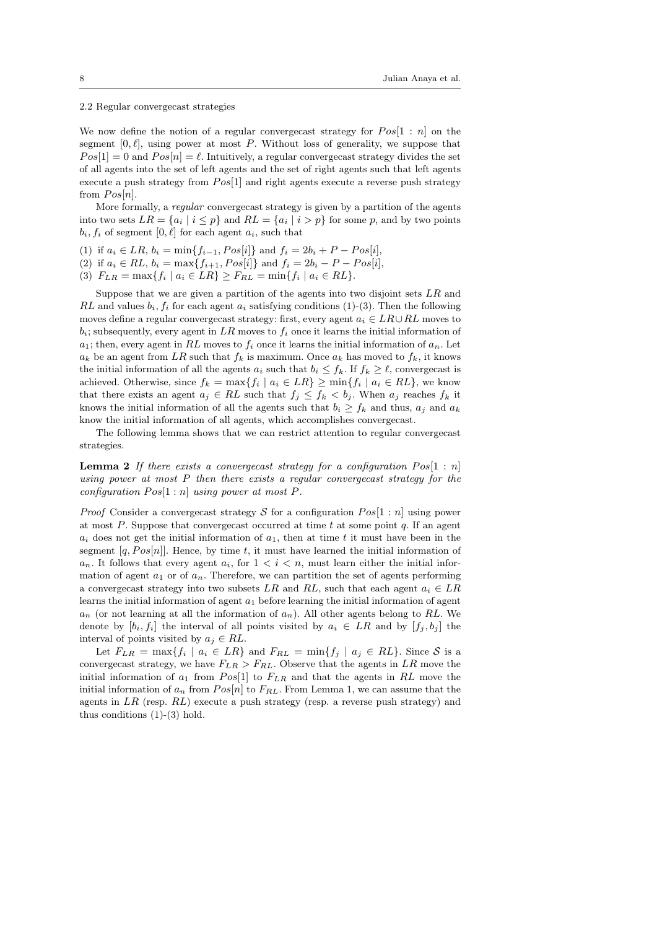2.2 Regular convergecast strategies

We now define the notion of a regular converge cast strategy for  $Pos[1:n]$  on the segment  $[0, \ell]$ , using power at most P. Without loss of generality, we suppose that  $Pos[1] = 0$  and  $Pos[n] = \ell$ . Intuitively, a regular convergecast strategy divides the set of all agents into the set of left agents and the set of right agents such that left agents execute a push strategy from  $Pos[1]$  and right agents execute a reverse push strategy from  $Pos[n]$ .

More formally, a *regular* convergecast strategy is given by a partition of the agents into two sets  $LR = \{a_i \mid i \leq p\}$  and  $RL = \{a_i \mid i > p\}$  for some p, and by two points  $b_i, f_i$  of segment  $[0, \ell]$  for each agent  $a_i$ , such that

- (1) if  $a_i \in LR, b_i = \min\{f_{i-1}, Pos[i]\}$  and  $f_i = 2b_i + P Pos[i],$
- (2) if  $a_i \in RL$ ,  $b_i = \max\{f_{i+1}, Pos[i]\}$  and  $f_i = 2b_i P Pos[i],$
- (3)  $F_{LR} = \max\{f_i \mid a_i \in LR\} \geq F_{RL} = \min\{f_i \mid a_i \in RL\}.$

Suppose that we are given a partition of the agents into two disjoint sets  $LR$  and RL and values  $b_i, f_i$  for each agent  $a_i$  satisfying conditions (1)-(3). Then the following moves define a regular convergecast strategy: first, every agent  $a_i \in LR \cup RL$  moves to  $b_i$ ; subsequently, every agent in LR moves to  $f_i$  once it learns the initial information of  $a_1$ ; then, every agent in RL moves to  $f_i$  once it learns the initial information of  $a_n$ . Let  $a_k$  be an agent from LR such that  $f_k$  is maximum. Once  $a_k$  has moved to  $f_k$ , it knows the initial information of all the agents  $a_i$  such that  $b_i \leq f_k$ . If  $f_k \geq \ell$ , convergecast is achieved. Otherwise, since  $f_k = \max\{f_i \mid a_i \in LR\} \geq \min\{f_i \mid a_i \in RL\}$ , we know that there exists an agent  $a_j \in RL$  such that  $f_j \leq f_k \lt b_j$ . When  $a_j$  reaches  $f_k$  it knows the initial information of all the agents such that  $b_i \geq f_k$  and thus,  $a_j$  and  $a_k$ know the initial information of all agents, which accomplishes convergecast.

The following lemma shows that we can restrict attention to regular convergecast strategies.

**Lemma 2** If there exists a converge cast strategy for a configuration  $Pos[1:n]$ using power at most P then there exists a regular convergecast strategy for the configuration  $Pos[1:n]$  using power at most P.

*Proof* Consider a convergecast strategy S for a configuration  $Pos[1:n]$  using power at most  $P$ . Suppose that converge cast occurred at time  $t$  at some point  $q$ . If an agent  $a_i$  does not get the initial information of  $a_1$ , then at time t it must have been in the segment  $[q, Pos[n]]$ . Hence, by time t, it must have learned the initial information of  $a_n$ . It follows that every agent  $a_i$ , for  $1 \leq i \leq n$ , must learn either the initial information of agent  $a_1$  or of  $a_n$ . Therefore, we can partition the set of agents performing a converge cast strategy into two subsets LR and RL, such that each agent  $a_i \in LR$ learns the initial information of agent  $a_1$  before learning the initial information of agent  $a_n$  (or not learning at all the information of  $a_n$ ). All other agents belong to RL. We denote by  $[b_i, f_i]$  the interval of all points visited by  $a_i \in LR$  and by  $[f_i, b_j]$  the interval of points visited by  $a_j \in RL$ .

Let  $F_{LR} = \max\{f_i \mid a_i \in LR\}$  and  $F_{RL} = \min\{f_j \mid a_j \in RL\}$ . Since S is a convergecast strategy, we have  $F_{LR} > F_{RL}$ . Observe that the agents in LR move the initial information of  $a_1$  from  $Pos[1]$  to  $F_{LR}$  and that the agents in RL move the initial information of  $a_n$  from  $Pos[n]$  to  $F_{RL}$ . From Lemma 1, we can assume that the agents in  $LR$  (resp.  $RL$ ) execute a push strategy (resp. a reverse push strategy) and thus conditions  $(1)-(3)$  hold.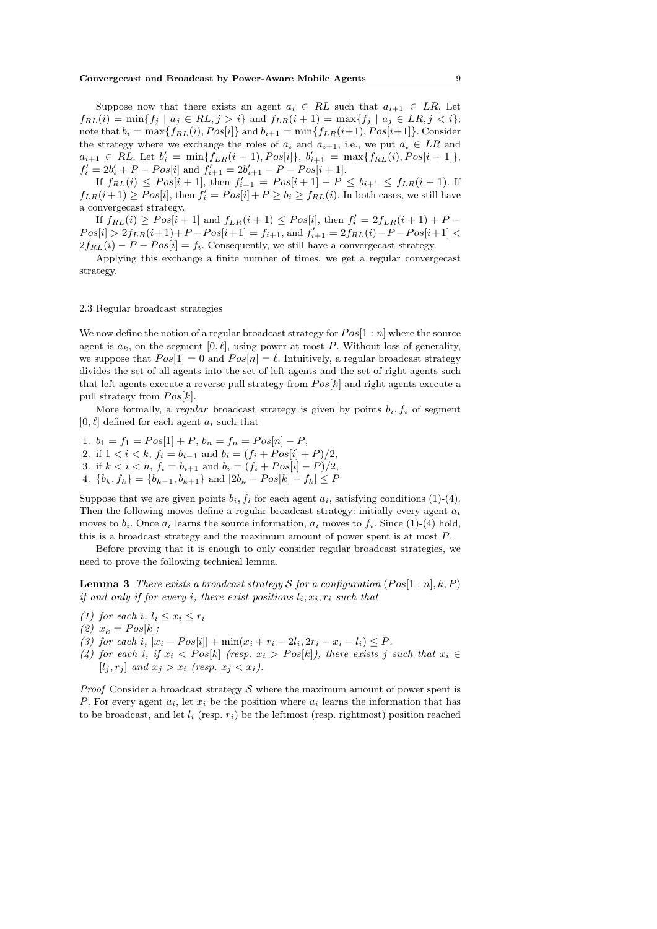Suppose now that there exists an agent  $a_i \in RL$  such that  $a_{i+1} \in LR$ . Let  $f_{RL}(i) = \min\{f_j \mid a_j \in RL, j > i\}$  and  $f_{LR}(i+1) = \max\{f_j \mid a_j \in LR, j < i\};$ note that  $b_i = \max\{f_{RL}(i), Pos[i]\}$  and  $b_{i+1} = \min\{f_{LR}(i+1), Pos[i+1]\}$ . Consider the strategy where we exchange the roles of  $a_i$  and  $a_{i+1}$ , i.e., we put  $a_i \in LR$  and  $a_{i+1} \in RL$ . Let  $b'_i = \min\{f_{LR}(i+1), Pos[i]\}, b'_{i+1} = \max\{f_{RL}(i), Pos[i+1]\},\$  $f'_{i} = 2b'_{i} + P - Pos[i]$  and  $f'_{i+1} = 2b'_{i+1} - P - Pos[i+1]$ .

If  $f_{RL}(i) \leq Pos[i+1]$ , then  $f'_{i+1} = Pos[i+1] - P \leq b_{i+1} \leq f_{LR}(i+1)$ . If  $f_{LR}(i+1) \ge Pos[i]$ , then  $f'_i = Pos[i] + P \ge b_i \ge f_{RL}(i)$ . In both cases, we still have a convergecast strategy.

If  $f_{RL}(i) \ge Pos[i + 1]$  and  $f_{LR}(i + 1) \le Pos[i]$ , then  $f'_i = 2f_{LR}(i + 1) + P Pos[i] > 2f_{LR}(i+1) + P - Pos[i+1] = f_{i+1}$ , and  $f'_{i+1} = 2f_{RL}(i) - P - Pos[i+1] <$  $2f_{RL}(i) - P - Pos[i] = f_i$ . Consequently, we still have a converge cast strategy.

Applying this exchange a finite number of times, we get a regular convergecast strategy.

#### 2.3 Regular broadcast strategies

We now define the notion of a regular broadcast strategy for  $Pos[1:n]$  where the source agent is  $a_k$ , on the segment  $[0, \ell]$ , using power at most P. Without loss of generality, we suppose that  $Pos[1] = 0$  and  $Pos[n] = \ell$ . Intuitively, a regular broadcast strategy divides the set of all agents into the set of left agents and the set of right agents such that left agents execute a reverse pull strategy from  $Pos[k]$  and right agents execute a pull strategy from  $Pos[k]$ .

More formally, a regular broadcast strategy is given by points  $b_i, f_i$  of segment  $[0, \ell]$  defined for each agent  $a_i$  such that

1.  $b_1 = f_1 = Pos[1] + P$ ,  $b_n = f_n = Pos[n] - P$ , 2. if  $1 < i < k$ ,  $f_i = b_{i-1}$  and  $b_i = (f_i + P \circ s[i] + P)/2$ , 3. if  $k < i < n$ ,  $f_i = b_{i+1}$  and  $b_i = (f_i + Pos[i] - P)/2$ , 4.  ${b_k, f_k} = {b_{k-1}, b_{k+1}}$  and  $|2b_k - Pos[k] - f_k| \le P$ 

Suppose that we are given points  $b_i, f_i$  for each agent  $a_i$ , satisfying conditions (1)-(4). Then the following moves define a regular broadcast strategy: initially every agent  $a_i$ moves to  $b_i$ . Once  $a_i$  learns the source information,  $a_i$  moves to  $f_i$ . Since (1)-(4) hold, this is a broadcast strategy and the maximum amount of power spent is at most P.

Before proving that it is enough to only consider regular broadcast strategies, we need to prove the following technical lemma.

**Lemma 3** There exists a broadcast strategy S for a configuration  $(Pos[1:n], k, P)$ if and only if for every i, there exist positions  $l_i, x_i, r_i$  such that

- (1) for each i,  $l_i \leq x_i \leq r_i$
- (2)  $x_k = Pos[k];$
- (3) for each i,  $|x_i Pos[i]| + \min(x_i + r_i 2l_i, 2r_i x_i l_i) \leq P$ .
- (4) for each i, if  $x_i < Pos[k]$  (resp.  $x_i > Pos[k]$ ), there exists j such that  $x_i \in$  $[l_j, r_j]$  and  $x_j > x_i$  (resp.  $x_j < x_i$ ).

*Proof* Consider a broadcast strategy  $S$  where the maximum amount of power spent is P. For every agent  $a_i$ , let  $x_i$  be the position where  $a_i$  learns the information that has to be broadcast, and let  $l_i$  (resp.  $r_i$ ) be the leftmost (resp. rightmost) position reached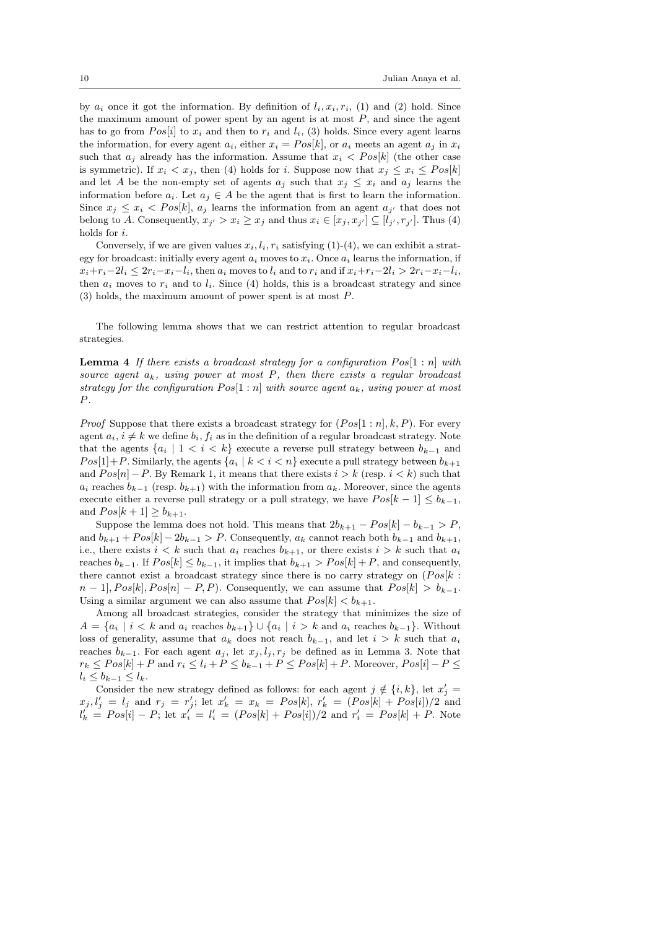by  $a_i$  once it got the information. By definition of  $l_i, x_i, r_i$ , (1) and (2) hold. Since the maximum amount of power spent by an agent is at most  $P$ , and since the agent has to go from  $Pos[i]$  to  $x_i$  and then to  $r_i$  and  $l_i$ , (3) holds. Since every agent learns the information, for every agent  $a_i$ , either  $x_i = Pos[k]$ , or  $a_i$  meets an agent  $a_j$  in  $x_i$ such that  $a_j$  already has the information. Assume that  $x_i < Pos[k]$  (the other case is symmetric). If  $x_i < x_j$ , then (4) holds for i. Suppose now that  $x_j \leq x_i \leq Pos[k]$ and let A be the non-empty set of agents  $a_j$  such that  $x_j \leq x_i$  and  $a_j$  learns the information before  $a_i$ . Let  $a_j \in A$  be the agent that is first to learn the information. Since  $x_j \leq x_i$  <  $Pos[k], a_j$  learns the information from an agent  $a_{j'}$  that does not belong to A. Consequently,  $x_{j'} > x_i \geq x_j$  and thus  $x_i \in [x_j, x_{j'}] \subseteq [l_{j'}, r_{j'}]$ . Thus (4) holds for i.

Conversely, if we are given values  $x_i, l_i, r_i$  satisfying (1)-(4), we can exhibit a strategy for broadcast: initially every agent  $a_i$  moves to  $x_i$ . Once  $a_i$  learns the information, if  $x_i+r_i-2l_i \leq 2r_i-x_i-l_i$ , then  $a_i$  moves to  $l_i$  and to  $r_i$  and if  $x_i+r_i-2l_i > 2r_i-x_i-l_i$ , then  $a_i$  moves to  $r_i$  and to  $l_i$ . Since (4) holds, this is a broadcast strategy and since (3) holds, the maximum amount of power spent is at most P.

The following lemma shows that we can restrict attention to regular broadcast strategies.

**Lemma 4** If there exists a broadcast strategy for a configuration  $Pos[1:n]$  with source agent  $a_k$ , using power at most P, then there exists a regular broadcast strategy for the configuration  $Pos[1:n]$  with source agent  $a_k$ , using power at most P.

*Proof* Suppose that there exists a broadcast strategy for  $(Pos[1:n], k, P)$ . For every agent  $a_i, i \neq k$  we define  $b_i, f_i$  as in the definition of a regular broadcast strategy. Note that the agents  $\{a_i \mid 1 \leq i \leq k\}$  execute a reverse pull strategy between  $b_{k-1}$  and  $Pos[1]+P$ . Similarly, the agents  $\{a_i \mid k < i < n\}$  execute a pull strategy between  $b_{k+1}$ and  $Pos[n]-P$ . By Remark 1, it means that there exists  $i > k$  (resp.  $i < k$ ) such that  $a_i$  reaches  $b_{k-1}$  (resp.  $b_{k+1}$ ) with the information from  $a_k$ . Moreover, since the agents execute either a reverse pull strategy or a pull strategy, we have  $Pos[k-1] \leq b_{k-1}$ , and  $Pos[k + 1] \ge b_{k+1}$ .

Suppose the lemma does not hold. This means that  $2b_{k+1} - Pos[k] - b_{k-1} > P$ , and  $b_{k+1}$  +  $Pos[k] - 2b_{k-1} > P$ . Consequently,  $a_k$  cannot reach both  $b_{k-1}$  and  $b_{k+1}$ , i.e., there exists  $i < k$  such that  $a_i$  reaches  $b_{k+1}$ , or there exists  $i > k$  such that  $a_i$ reaches  $b_{k-1}$ . If  $Pos[k] \leq b_{k-1}$ , it implies that  $b_{k+1} > Pos[k] + P$ , and consequently, there cannot exist a broadcast strategy since there is no carry strategy on  $(Pos[k])$  $n-1$ ,  $Pos[k]$ ,  $Pos[n] - P$ ,  $P$ ). Consequently, we can assume that  $Pos[k] > b_{k-1}$ . Using a similar argument we can also assume that  $Pos[k] < b_{k+1}$ .

Among all broadcast strategies, consider the strategy that minimizes the size of  $A = \{a_i \mid i < k \text{ and } a_i \text{ reaches } b_{k+1}\} \cup \{a_i \mid i > k \text{ and } a_i \text{ reaches } b_{k-1}\}.$  Without loss of generality, assume that  $a_k$  does not reach  $b_{k-1}$ , and let  $i > k$  such that  $a_i$ reaches  $b_{k-1}$ . For each agent  $a_j$ , let  $x_j, l_j, r_j$  be defined as in Lemma 3. Note that  $r_k \leq Pos[k] + P$  and  $r_i \leq l_i + P \leq b_{k-1} + P \leq Pos[k] + P$ . Moreover,  $Pos[i] - P \leq$  $l_i \leq b_{k-1} \leq l_k.$ 

Consider the new strategy defined as follows: for each agent  $j \notin \{i, k\}$ , let  $x'_j =$  $x_j, l'_j = l_j$  and  $r_j = r'_j$ ; let  $x'_k = x_k = Pos[k], r'_k = (Pos[k] + Pos[i])/2$  and  $l'_{k} = Pos[i] - P$ ; let  $x'_{i} = l'_{i} = (Pos[k] + Pos[i])/2$  and  $r'_{i} = Pos[k] + P$ . Note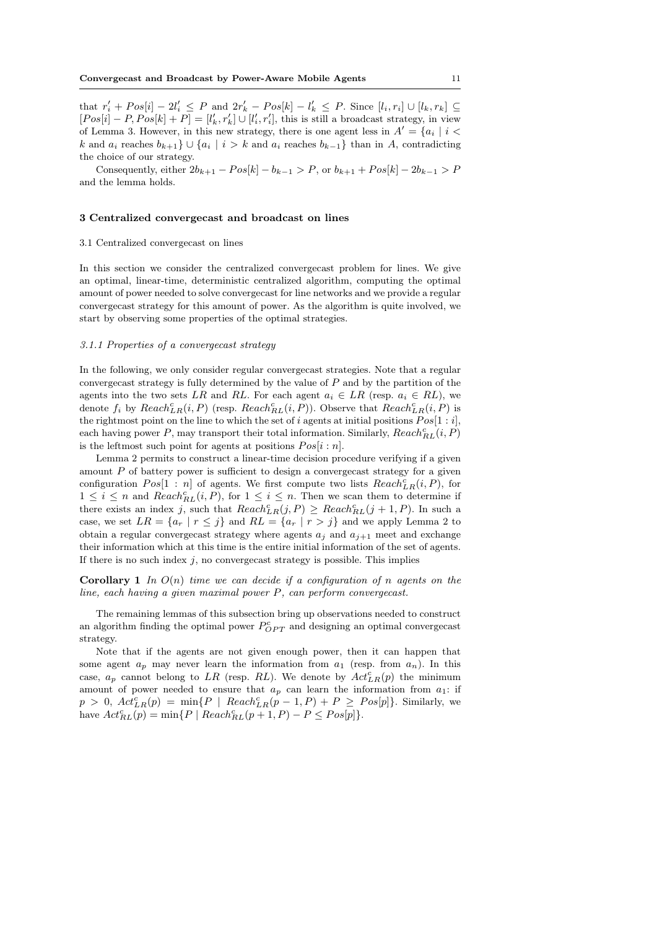that  $r'_i + Pos[i] - 2l'_i \leq P$  and  $2r'_k - Pos[k] - l'_k \leq P$ . Since  $[l_i, r_i] \cup [l_k, r_k] \subseteq$  $[Pos[i] - P, Pos[k] + P] = [l'_k, r'_k] \cup [l'_i, r'_i]$ , this is still a broadcast strategy, in view of Lemma 3. However, in this new strategy, there is one agent less in  $A' = \{a_i \mid i \leq j \}$ k and  $a_i$  reaches  $b_{k+1}$ } ∪ { $a_i | i > k$  and  $a_i$  reaches  $b_{k-1}$ } than in A, contradicting the choice of our strategy.

Consequently, either  $2b_{k+1} - Pos[k] - b_{k-1} > P$ , or  $b_{k+1} + Pos[k] - 2b_{k-1} > P$ and the lemma holds.

#### 3 Centralized convergecast and broadcast on lines

#### 3.1 Centralized convergecast on lines

In this section we consider the centralized convergecast problem for lines. We give an optimal, linear-time, deterministic centralized algorithm, computing the optimal amount of power needed to solve convergecast for line networks and we provide a regular convergecast strategy for this amount of power. As the algorithm is quite involved, we start by observing some properties of the optimal strategies.

#### 3.1.1 Properties of a convergecast strategy

In the following, we only consider regular convergecast strategies. Note that a regular convergecast strategy is fully determined by the value of  $P$  and by the partition of the agents into the two sets LR and RL. For each agent  $a_i \in LR$  (resp.  $a_i \in RL$ ), we denote  $f_i$  by  $Reach_{LR}^c(i, P)$  (resp.  $Reach_{RL}^c(i, P)$ ). Observe that  $Reach_{LR}^c(i, P)$  is the rightmost point on the line to which the set of i agents at initial positions  $Pos[1:i]$ , each having power  $P$ , may transport their total information. Similarly,  $Reach_{RL}^c(i, P)$ is the leftmost such point for agents at positions  $Pos[i:n]$ .

Lemma 2 permits to construct a linear-time decision procedure verifying if a given amount  $P$  of battery power is sufficient to design a converge ast strategy for a given configuration  $Pos[1:n]$  of agents. We first compute two lists  $Reach<sup>c</sup><sub>LR</sub>(i, P)$ , for  $1 \leq i \leq n$  and  $Reach_{RL}^c(i, P)$ , for  $1 \leq i \leq n$ . Then we scan them to determine if there exists an index j, such that  $Reach_{LR}^c(j, P) \geq Reach_{RL}^c(j + 1, P)$ . In such a case, we set  $LR = \{a_r | r \leq j\}$  and  $RL = \{a_r | r > j\}$  and we apply Lemma 2 to obtain a regular convergecast strategy where agents  $a_j$  and  $a_{j+1}$  meet and exchange their information which at this time is the entire initial information of the set of agents. If there is no such index  $j$ , no converge cast strategy is possible. This implies

**Corollary 1** In  $O(n)$  time we can decide if a configuration of n agents on the line, each having a given maximal power P, can perform convergecast.

The remaining lemmas of this subsection bring up observations needed to construct an algorithm finding the optimal power  $P_{OPT}^c$  and designing an optimal converge<br>cast strategy.

Note that if the agents are not given enough power, then it can happen that some agent  $a_p$  may never learn the information from  $a_1$  (resp. from  $a_n$ ). In this case,  $a_p$  cannot belong to LR (resp. RL). We denote by  $Act_{LR}^c(p)$  the minimum amount of power needed to ensure that  $a_p$  can learn the information from  $a_1$ : if  $p > 0$ ,  $Act_{LR}^{c}(p) = \min\{P \mid Readch_{LR}^{c}(p-1, P) + P \ge Pos[p]\}.$  Similarly, we have  $Act_{RL}^{c}(p) = \min\{P \mid Readh_{RL}^{c}(p+1, P) - P \le Pos[p]\}.$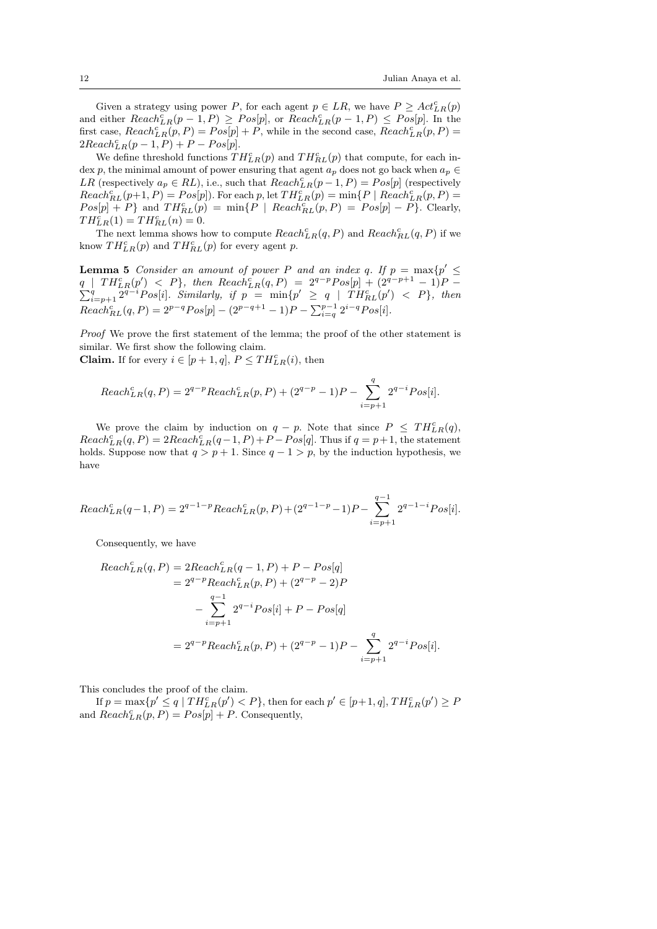Given a strategy using power P, for each agent  $p \in LR$ , we have  $P \geq Act_{LR}^c(p)$ and either  $Reach<sup>c</sup><sub>LR</sub>(p-1, P) \ge Pos[p]$ , or  $Reach<sup>c</sup><sub>LR</sub>(p-1, P) \le Pos[p]$ . In the first case,  $Reach_{LR}^c(p, P) = Pos[p] + P$ , while in the second case,  $Reach_{LR}^c(p, P) =$  $2Reach<sup>c</sup><sub>LR</sub>(p-1, P) + P - Pos[p].$ 

We define threshold functions  $TH_{LR}^c(p)$  and  $TH_{RL}^c(p)$  that compute, for each index p, the minimal amount of power ensuring that agent  $a_p$  does not go back when  $a_p \in \mathbb{R}$ LR (respectively  $a_p \in RL$ ), i.e., such that  $Reach_{LR}^c(p-1, P) = Pos[p]$  (respectively  $Reach_{RL}^c(p+1, P) = Pos[p]$ . For each p, let  $TH_{LR}^c(p) = min\{P \mid Readh_{LR}^c(p, P) =$  $Pos[p] + P$  and  $TH_{RL}^c(p) = min\{P \mid Readh_{RL}^c(p, P) = Pos[p] - P\}$ . Clearly,  $TH_{LR}^c(1) = TH_{RL}^c(n) = 0.$ 

The next lemma shows how to compute  $Reach_{LR}^c(q, P)$  and  $Reach_{RL}^c(q, P)$  if we know  $TH_{LR}^c(p)$  and  $TH_{RL}^c(p)$  for every agent p.

**Lemma 5** Consider an amount of power P and an index q. If  $p = max\{p' \leq p\}$  $q \mid TH_{LR}^c(p') \mid P \rangle$ , then  $Reach_{LR}^c(q, P) = 2^{q-p}Pos[p] + (2^{q-p+1}$  $\begin{array}{l} q \mid TH_{LR}^c(p') < P \}, \ \textit{then} \ \textit{Reach}_{LR}^c(q,P) \ = \ 2^{q-p} \textit{Pos}[p] + (2^{q-p+1}-1)P - \ \sum_{i=p+1}^q 2^{q-i} \textit{Pos}[i]. \ \ \textit{Similarly, if} \ \ p \ = \ \min\{p' \ \geq \ q \ \mid \ TH_{RL}^c(p') < P \}, \ \textit{then} \end{array}$  $Reach_{RL}^c(q, P) = 2^{p-q}Pos[p] - (2^{p-q+1} - 1)P - \sum_{i=q}^{p-1} 2^{i-q}Pos[i].$ 

Proof We prove the first statement of the lemma; the proof of the other statement is similar. We first show the following claim.

**Claim.** If for every  $i \in [p+1, q]$ ,  $P \leq TH_{LR}^c(i)$ , then

$$
Reach_{LR}^c(q, P) = 2^{q-p}Reach_{LR}^c(p, P) + (2^{q-p} - 1)P - \sum_{i=p+1}^{q} 2^{q-i}Pos[i].
$$

We prove the claim by induction on  $q - p$ . Note that since  $P \leq TH_{LR}^c(q)$ ,  $Reach_{LR}^c(q, P) = 2Reach_{LR}^c(q-1, P) + P - Pos[q]$ . Thus if  $q = p+1$ , the statement holds. Suppose now that  $q > p + 1$ . Since  $q - 1 > p$ , by the induction hypothesis, we have

$$
Reach_{LR}^c(q-1,P) = 2^{q-1-p}Reach_{LR}^c(p,P) + (2^{q-1-p}-1)P - \sum_{i=p+1}^{q-1} 2^{q-1-i}Pos[i].
$$

Consequently, we have

$$
Reach_{LR}^c(q, P) = 2Reach_{LR}^c(q - 1, P) + P - Pos[q]
$$
  
=  $2^{q-p}Reach_{LR}^c(p, P) + (2^{q-p} - 2)P$   

$$
- \sum_{i=p+1}^{q-1} 2^{q-i}Pos[i] + P - Pos[q]
$$
  
=  $2^{q-p}Reach_{LR}^c(p, P) + (2^{q-p} - 1)P - \sum_{i=p+1}^{q} 2^{q-i}Pos[i].$ 

This concludes the proof of the claim.

If  $p = \max\{p' \le q \mid TH_{LR}^c(p') < P\}$ , then for each  $p' \in [p+1, q]$ ,  $TH_{LR}^c(p') \ge P$ and  $Reach_{LR}^c(p, P) = Pos[p] + P$ . Consequently,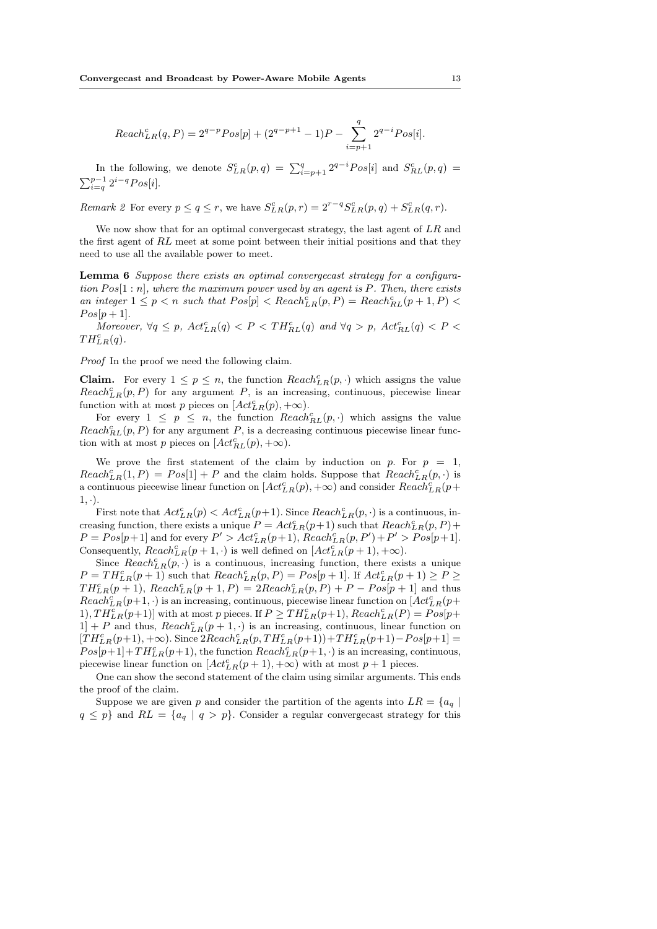$$
Reach_{LR}^c(q, P) = 2^{q-p}Pos[p] + (2^{q-p+1} - 1)P - \sum_{i=p+1}^{q} 2^{q-i}Pos[i].
$$

In the following, we denote  $S_{LR}^c(p,q) = \sum_{i=p+1}^q 2^{q-i}Pos[i]$  and  $S_{RL}^c(p,q)$  $\sum_{i=q}^{p-1} 2^{i-q} Pos[i].$ 

Remark 2 For every  $p \le q \le r$ , we have  $S_{LR}^c(p,r) = 2^{r-q} S_{LR}^c(p,q) + S_{LR}^c(q,r)$ .

We now show that for an optimal convergecast strategy, the last agent of  $LR$  and the first agent of RL meet at some point between their initial positions and that they need to use all the available power to meet.

Lemma 6 Suppose there exists an optimal convergecast strategy for a configuration  $Pos[1:n]$ , where the maximum power used by an agent is P. Then, there exists an integer  $1 \leq p < n$  such that  $Pos[p] < Reach_{LR}^c(p, P) = Reach_{RL}^c(p+1, P)$  $Pos[p+1]$ .

Moreover,  $\forall q \leq p$ ,  $Act_{LR}^{c}(q) < P < TH_{RL}^{c}(q)$  and  $\forall q > p$ ,  $Act_{RL}^{c}(q) < P <$  $TH_{LR}^c(q)$ .

Proof In the proof we need the following claim.

**Claim.** For every  $1 \leq p \leq n$ , the function  $Reach_{LR}^c(p, \cdot)$  which assigns the value  $Reach_{LR}^c(p, P)$  for any argument P, is an increasing, continuous, piecewise linear function with at most p pieces on  $[Act_{LR}^c(p), +\infty)$ .

For every  $1 \leq p \leq n$ , the function  $Reach_{RL}^c(p, \cdot)$  which assigns the value  $Reach_{RL}^c(p, P)$  for any argument P, is a decreasing continuous piecewise linear function with at most p pieces on  $[Act_{RL}^c(p), +\infty)$ .

We prove the first statement of the claim by induction on p. For  $p = 1$ ,  $Reach_{LR}^c(1, P) = Pos[1] + P$  and the claim holds. Suppose that  $Reach_{LR}^c(p, \cdot)$  is a continuous piecewise linear function on  $[Act_{LR}^{c}(p), +\infty)$  and consider  $Reach_{LR}^{c}(p)$ +  $1, \cdot$ ).

First note that  $Act_{LR}^c(p) < Act_{LR}^c(p+1)$ . Since  $Reach_{LR}^c(p, \cdot)$  is a continuous, increasing function, there exists a unique  $P = Act_{LR}^c(p+1)$  such that  $Reach_{LR}^c(p, P)$ +  $P = Pos[p+1]$  and for every  $P' > Act_{LR}^c(p+1)$ ,  $Reach_{LR}^c(p, P') + P' > Pos[p+1]$ . Consequently,  $Reach_{LR}^c(p+1, \cdot)$  is well defined on  $[Act_{LR}^c(p+1), +\infty)$ .

Since  $Reach_{LR}^c(p, \cdot)$  is a continuous, increasing function, there exists a unique  $P = TH_{LR}^c(p+1)$  such that  $Reach_{LR}^c(p, P) = Pos[p+1]$ . If  $Act_{LR}^c(p+1) \ge P \ge$  $TH_{LR}^c(p+1)$ ,  $Reach_{LR}^c(p+1, P) = 2Reach_{LR}^c(p, P) + P - Pos[p+1]$  and thus  $Reach_{LR}^c(p+1, \cdot)$  is an increasing, continuous, piecewise linear function on  $[Act_{LR}^c(p+1, \cdot)]$ 1),  $TH_{LR}^c(p+1)$  with at most p pieces. If  $P \geq TH_{LR}^c(p+1)$ ,  $Reach_{LR}^c(P) = Pos[p+1]$  $1] + P$  and thus,  $Reach_{LR}^c(p + 1, \cdot)$  is an increasing, continuous, linear function on  $[TH_{LR}^c(p+1), +\infty)$ . Since  $2Reach_{LR}^c(p, TH_{LR}^c(p+1))+TH_{LR}^c(p+1)-Pos[p+1]=$  $Pos[p+1] + TH_{LR}^c(p+1)$ , the function  $Reach_{LR}^c(p+1, \cdot)$  is an increasing, continuous, piecewise linear function on  $[Act_{LR}^c(p+1), +\infty)$  with at most  $p+1$  pieces.

One can show the second statement of the claim using similar arguments. This ends the proof of the claim.

Suppose we are given p and consider the partition of the agents into  $LR = \{a_q \mid$  $q \leq p$  and  $RL = \{a_q | q > p\}$ . Consider a regular converge ast strategy for this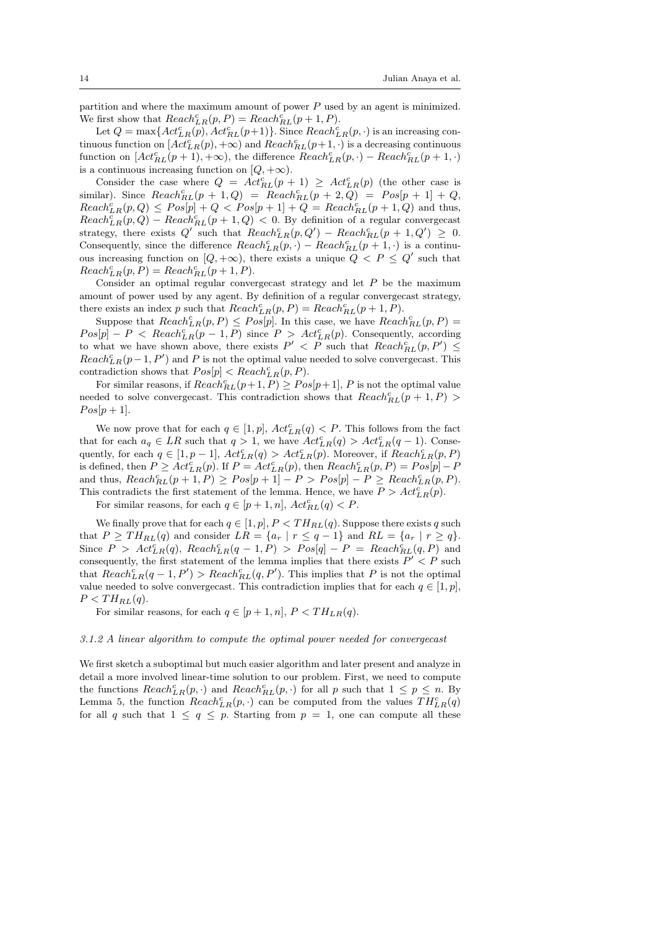partition and where the maximum amount of power P used by an agent is minimized. We first show that  $Reach_{LR}^c(p, P) =Reach_{RL}^c(p+1, P)$ .

Let  $Q = \max\{Act_{LR}^c(p), Act_{RL}^c(p+1)\}$ . Since  $Reach_{LR}^c(p, \cdot)$  is an increasing continuous function on  $[Act_{LR}^c(p), +\infty)$  and  $Reach_{RL}^c(p+1, \cdot)$  is a decreasing continuous function on  $[Act_{RL}^c(p+1), +\infty)$ , the difference  $Reach_{LR}^c(p, \cdot) -Reach_{RL}^c(p+1, \cdot)$ is a continuous increasing function on  $[Q, +\infty)$ .

Consider the case where  $Q = Act_{RL}^c(p+1) \ge Act_{LR}^c(p)$  (the other case is similar). Since  $Reach_{RL}^c(p+1, Q) = Readch_{RL}^c(p+2, Q) = Pos[p+1] + Q$ ,  $Reach_{LR}^c(p,Q) \le Pos[p] + Q < Pos[p+1] + Q =Reach_{RL}^c(p+1,Q)$  and thus,  $Reach_{LR}^c(p,Q) -Reach_{RL}^c(p+1,Q) < 0$ . By definition of a regular converge cast strategy, there exists  $Q'$  such that  $Reach_{LR}^c(p, Q') - Readh_{RL}^c(p + 1, Q') \geq 0$ . Consequently, since the difference  $Reach_{LR}^c(p, \cdot) -Reach_{RL}^c(p+1, \cdot)$  is a continuous increasing function on  $[Q, +\infty)$ , there exists a unique  $Q < P \leq Q'$  such that  $Reach<sup>c</sup><sub>LR</sub>(p, P) =Reach<sup>c</sup><sub>RL</sub>(p + 1, P).$ 

Consider an optimal regular converge ast strategy and let  $P$  be the maximum amount of power used by any agent. By definition of a regular convergecast strategy, there exists an index p such that  $Reach_{LR}^c(p, P) =Reach_{RL}^c(p+1, P)$ .

Suppose that  $Reach_{LR}^c(p, P) \leq Pos[p]$ . In this case, we have  $Reach_{RL}^c(p, P)$  $Pos[p] - P \ltq Reach_{LR}^c(p-1, P)$  since  $P > Act_{LR}^c(p)$ . Consequently, according to what we have shown above, there exists  $P' < P$  such that  $Reach_{RL}^c(p, P') \leq$  $Reach_{LR}^c(p-1, P')$  and P is not the optimal value needed to solve converge cast. This contradiction shows that  $Pos[p]   $Reach_{LR}^c(p, P)$ .$ 

For similar reasons, if  $Reach_{RL}^c(p+1, P) \ge Pos[p+1], P$  is not the optimal value needed to solve converge<br>cast. This contradiction shows that  $Reach^c_{RL}(p + 1, P) >$  $Pos[p+1]$ .

We now prove that for each  $q \in [1, p]$ ,  $Act_{LR}^c(q) < P$ . This follows from the fact that for each  $a_q \in LR$  such that  $q > 1$ , we have  $Act_{LR}^c(q) > Act_{LR}^c(q-1)$ . Consequently, for each  $q \in [1, p-1]$ ,  $Act_{LR}^{c}(q) > Act_{LR}^{c}(p)$ . Moreover, if  $Reach_{LR}^{c}(p, P)$ is defined, then  $P \geq Act_{LR}^c(p)$ . If  $P = Act_{LR}^c(p)$ , then  $Reach_{LR}^c(p, P) = Pos[p] - P$ and thus,  $Reach_{RL}^c(p+1, P) \ge Pos[p+1] - P > Pos[p] - P \ge Readch_{LR}^c(p, P)$ . This contradicts the first statement of the lemma. Hence, we have  $P > Act_{LR}^c(p)$ .

For similar reasons, for each  $q \in [p+1, n]$ ,  $Act_{RL}^{c}(q) < P$ .

We finally prove that for each  $q \in [1, p]$ ,  $P < TH_{RL}(q)$ . Suppose there exists q such that  $P \geq TH_{RL}(q)$  and consider  $LR = \{a_r \mid r \leq q-1\}$  and  $RL = \{a_r \mid r \geq q\}.$ Since  $P > Act_{LR}^c(q)$ ,  $Reach_{LR}^c(q-1, P) > Pos[q] - P = Readh_{RL}^c(q, P)$  and consequently, the first statement of the lemma implies that there exists  $P' < P$  such that  $Reach_{LR}^c(q-1, P') >Reach_{RL}^c(q, P')$ . This implies that P is not the optimal value needed to solve converge cast. This contradiction implies that for each  $q \in [1, p]$ ,  $P < TH_{RL}(q)$ .

For similar reasons, for each  $q \in [p+1, n], P < TH_{LR}(q)$ .

## 3.1.2 A linear algorithm to compute the optimal power needed for convergecast

We first sketch a suboptimal but much easier algorithm and later present and analyze in detail a more involved linear-time solution to our problem. First, we need to compute the functions  $Reach_{LR}^c(p, \cdot)$  and  $Reach_{RL}^c(p, \cdot)$  for all p such that  $1 \leq p \leq n$ . By Lemma 5, the function  $Reach_{LR}^c(p, \cdot)$  can be computed from the values  $TH_{LR}^c(q)$ for all q such that  $1 \le q \le p$ . Starting from  $p = 1$ , one can compute all these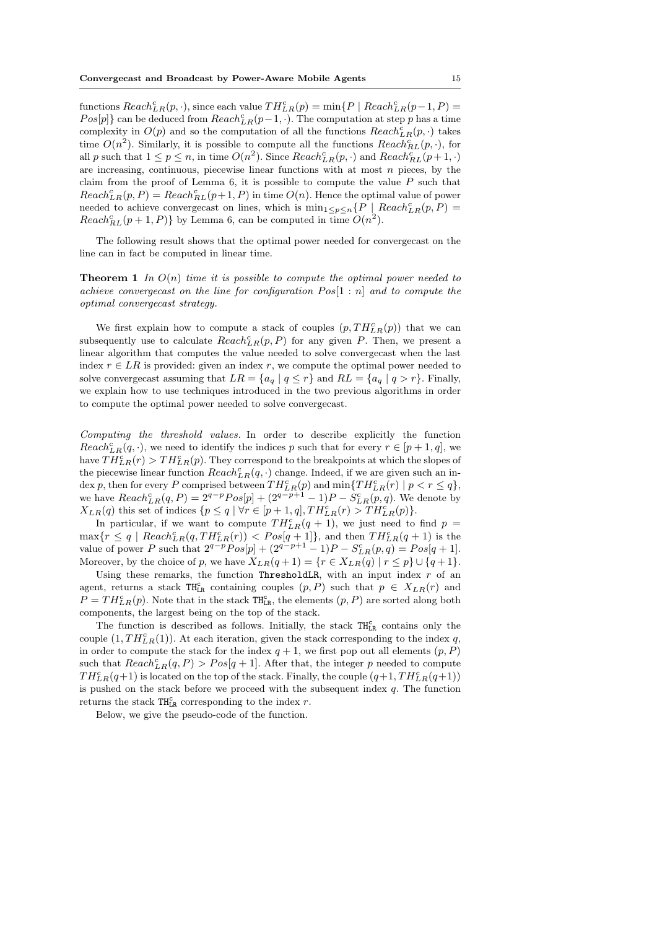functions  $Reach_{LR}^c(p, \cdot)$ , since each value  $TH_{LR}^c(p) = \min\{P \midReach_{LR}^c(p-1, P) =$  $Pos[p]$  can be deduced from  $Reach_{LR}^c(p-1, \cdot)$ . The computation at step p has a time complexity in  $O(p)$  and so the computation of all the functions  $Reach<sup>c</sup><sub>LR</sub>(p, ·)$  takes time  $O(n^2)$ . Similarly, it is possible to compute all the functions  $Reach_{RL}^c(p, \cdot)$ , for all p such that  $1 \le p \le n$ , in time  $O(n^2)$ . Since  $Reach_{LR}^c(p, \cdot)$  and  $Reach_{RL}^c(p+1, \cdot)$ are increasing, continuous, piecewise linear functions with at most  $n$  pieces, by the claim from the proof of Lemma  $6$ , it is possible to compute the value  $P$  such that  $Reach_{LR}^c(p, P) =Reach_{RL}^c(p+1, P)$  in time  $O(n)$ . Hence the optimal value of power needed to achieve convergecast on lines, which is  $\min_{1 \leq p \leq n} \{P \mid \text{Reach}_{LR}^c(p, P) =$  $Reach_{RL}^c(p+1, P)$ } by Lemma 6, can be computed in time  $O(n^2)$ .

The following result shows that the optimal power needed for convergecast on the line can in fact be computed in linear time.

**Theorem 1** In  $O(n)$  time it is possible to compute the optimal power needed to achieve convergecast on the line for configuration  $Pos[1:n]$  and to compute the optimal convergecast strategy.

We first explain how to compute a stack of couples  $(p, TH_{LR}^c(p))$  that we can subsequently use to calculate  $Reach_{LR}^c(p, P)$  for any given P. Then, we present a linear algorithm that computes the value needed to solve convergecast when the last index  $r \in LR$  is provided: given an index r, we compute the optimal power needed to solve convergecast assuming that  $LR = \{a_q | q \leq r\}$  and  $RL = \{a_q | q > r\}$ . Finally, we explain how to use techniques introduced in the two previous algorithms in order to compute the optimal power needed to solve convergecast.

Computing the threshold values. In order to describe explicitly the function  $Reach_{LR}^c(q, \cdot)$ , we need to identify the indices p such that for every  $r \in [p+1, q]$ , we have  $TH_{LR}^c(r) > TH_{LR}^c(p)$ . They correspond to the breakpoints at which the slopes of the piecewise linear function  $Reach_{LR}^c(q, \cdot)$  change. Indeed, if we are given such an index p, then for every P comprised between  $TH_{LR}^c(p)$  and  $\min\{TH_{LR}^c(r) \mid p < r \leq q\}$ , we have  $Reach_{LR}^c(q, P) = 2^{q-p}Pos[p] + (2^{q-p+1} - 1)P - S_{LR}^c(p, q)$ . We denote by  $X_{LR}(q)$  this set of indices  $\{p \leq q \mid \forall r \in [p+1,q], TH_{LR}^c(r) > TH_{LR}^c(p)\}.$ 

In particular, if we want to compute  $TH_{LR}^c(q + 1)$ , we just need to find  $p =$  $\max\{r \leq q \mid \text{Reach}_{LR}^c(q, TH_{LR}^c(r)) < Pos[q+1]\},\$ and then  $TH_{LR}^c(q+1)$  is the value of power P such that  $2^{q-p}Pos[p] + (2^{q-p+1}-1)P - S_{LR}^c(p,q) = Pos[q+1]$ . Moreover, by the choice of p, we have  $X_{LR}(q+1) = \{r \in X_{LR}(q) \mid r \leq p\} \cup \{q+1\}.$ 

Using these remarks, the function ThresholdLR, with an input index  $r$  of an agent, returns a stack  $TH_{LR}^c$  containing couples  $(p, P)$  such that  $p \in X_{LR}(r)$  and  $P = TH_{LR}^c(p)$ . Note that in the stack  $TH_{LR}^c$ , the elements  $(p, P)$  are sorted along both components, the largest being on the top of the stack.

The function is described as follows. Initially, the stack  $TH_{LR}^c$  contains only the couple  $(1, TH_{LR}^c(1))$ . At each iteration, given the stack corresponding to the index q, in order to compute the stack for the index  $q + 1$ , we first pop out all elements  $(p, P)$ such that  $Reach_{LR}^c(q, P) > Pos[q + 1]$ . After that, the integer p needed to compute  $TH_{LR}^c(q+1)$  is located on the top of the stack. Finally, the couple  $(q+1,TH_{LR}^c(q+1))$ is pushed on the stack before we proceed with the subsequent index  $q$ . The function returns the stack  $TH_{LR}^c$  corresponding to the index r.

Below, we give the pseudo-code of the function.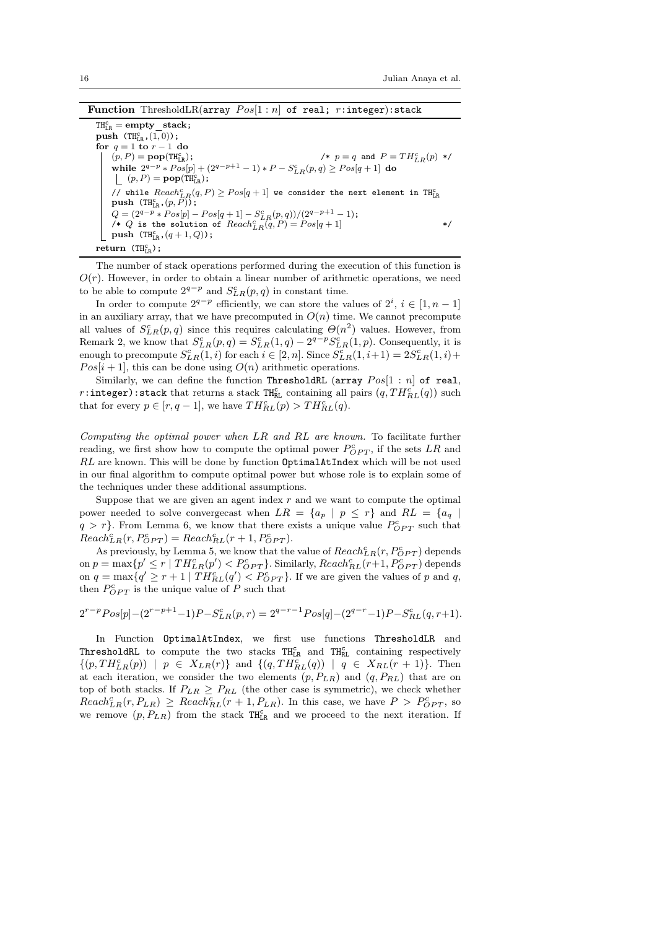Function ThresholdLR(array  $Pos[1:n]$  of real; r:integer):stack

 $TH_{LR}^c = \text{empty\_stack;};$ push  $(\text{TH}^c_{LR}, (1,0))$ ; for  $q = 1$  to  $r - 1$  do  $(p, P) = \text{pop}(\text{TH}^c_{\text{LR}});$   $\qquad \qquad \qquad$  /\*  $p = q$  and  $P = TH^c_{LR}(p)$  \*/ while  $2^{q-p} * Pos[p] + (2^{q-p+1} - 1) * P - S_{LR}^c(p,q) \ge Pos[q+1]$  do  $(p, P) = \text{pop}(\text{TH}^c_{LR});$ // while  $Reach_{LR}^c(q, P) \ge Pos[q + 1]$  we consider the next element in  $\text{TH}_{LR}^c$  push  $(\text{TH}_{LR}^c, (p, P))$ ;  $Q = (2^{q-p} * Pos[p] - Pos[q + 1] - S_{LR}^c(p,q)) / (2^{q-p+1} - 1);$ /\* Q is the solution of  $Reach<sup>c</sup><sub>LR</sub>(q, P) = Pos[q + 1]$  \*/ push  $(\text{TH}^c_{LR}, (q+1, Q))$ ;  $return \, (\texttt{TH}^{\texttt{c}}_{\texttt{LR}})$ ;

The number of stack operations performed during the execution of this function is  $O(r)$ . However, in order to obtain a linear number of arithmetic operations, we need to be able to compute  $2^{q-p}$  and  $S_{LR}^c(p,q)$  in constant time.

In order to compute  $2^{q-p}$  efficiently, we can store the values of  $2^i$ ,  $i \in [1, n-1]$ in an auxiliary array, that we have precomputed in  $O(n)$  time. We cannot precompute all values of  $S_{LR}^{c}(p,q)$  since this requires calculating  $\Theta(n^2)$  values. However, from Remark 2, we know that  $S_{LR}^c(p,q) = S_{LR}^c(1,q) - 2^{q-p} S_{LR}^c(1,p)$ . Consequently, it is enough to precompute  $S_{LR}^c(1,i)$  for each  $i \in [2, n]$ . Since  $S_{LR}^c(1,i+1) = 2S_{LR}^c(1,i) +$  $Pos[i+1]$ , this can be done using  $O(n)$  arithmetic operations.

Similarly, we can define the function ThresholdRL (array  $Pos[1:n]$  of real,  $r\texttt{:integer)}\texttt{:stack that returns a stack }\texttt{TH}_{\texttt{RL}}^{\texttt{c}}\text{ containing all pairs }(q, TH_{RL}^{c}(q))\text{ such}$ that for every  $p \in [r, q-1]$ , we have  $TH_{RL}^{c}(p) > TH_{RL}^{c}(q)$ .

Computing the optimal power when LR and RL are known. To facilitate further reading, we first show how to compute the optimal power  $P_{OPT}^c$ , if the sets LR and  $RL$  are known. This will be done by function  $\text{OptimalAtIndex}$  which will be not used in our final algorithm to compute optimal power but whose role is to explain some of the techniques under these additional assumptions.

Suppose that we are given an agent index  $r$  and we want to compute the optimal power needed to solve convergecast when  $LR = \{a_p | p \leq r\}$  and  $RL = \{a_q | p \leq r\}$  $q > r$ . From Lemma 6, we know that there exists a unique value  $P_{OPT}^c$  such that  $Reach<sup>c</sup><sub>LR</sub>(r, P<sup>c</sup><sub>OPT</sub>) =Reach<sup>c</sup><sub>RL</sub>(r + 1, P<sup>c</sup><sub>OPT</sub>).$ 

As previously, by Lemma 5, we know that the value of  $Reach_{LR}^c(r, P_{OPT}^c)$  depends on  $p = \max\{p' \le r \mid TH_{LR}^c(p') < P_{OPT}^c\}$ . Similarly,  $Reach_{RL}^c(r+1, P_{OPT}^c)$  depends on  $q = \max\{q' \ge r + 1 \mid TH_{RL}^c(q') < P_{OPT}^c\}$ . If we are given the values of p and q, then  $P_{OPT}^c$  is the unique value of P such that

$$
2^{r-p}Pos[p] - (2^{r-p+1}-1)P - S_{LR}^c(p,r) = 2^{q-r-1}Pos[q] - (2^{q-r}-1)P - S_{RL}^c(q,r+1).
$$

In Function OptimalAtIndex, we first use functions ThresholdLR and ThresholdRL to compute the two stacks  $TH_{LR}^c$  and  $TH_{RL}^c$  containing respectively  $\{(p, TH_{LR}^c(p)) \mid p \in X_{LR}(r)\}\$ and  $\{(q, TH_{RL}^c(q)) \mid q \in X_{RL}(r+1)\}\$ . Then at each iteration, we consider the two elements  $(p, P_{LR})$  and  $(q, P_{RL})$  that are on top of both stacks. If  $P_{LR} \geq P_{RL}$  (the other case is symmetric), we check whether  $Reach_{LR}^c(r, P_{LR}) \geqReach_{RL}^c(r+1, P_{LR})$ . In this case, we have  $P > P_{OPT}^c$ , so we remove  $(p, P_{LR})$  from the stack  $TH_{LR}^c$  and we proceed to the next iteration. If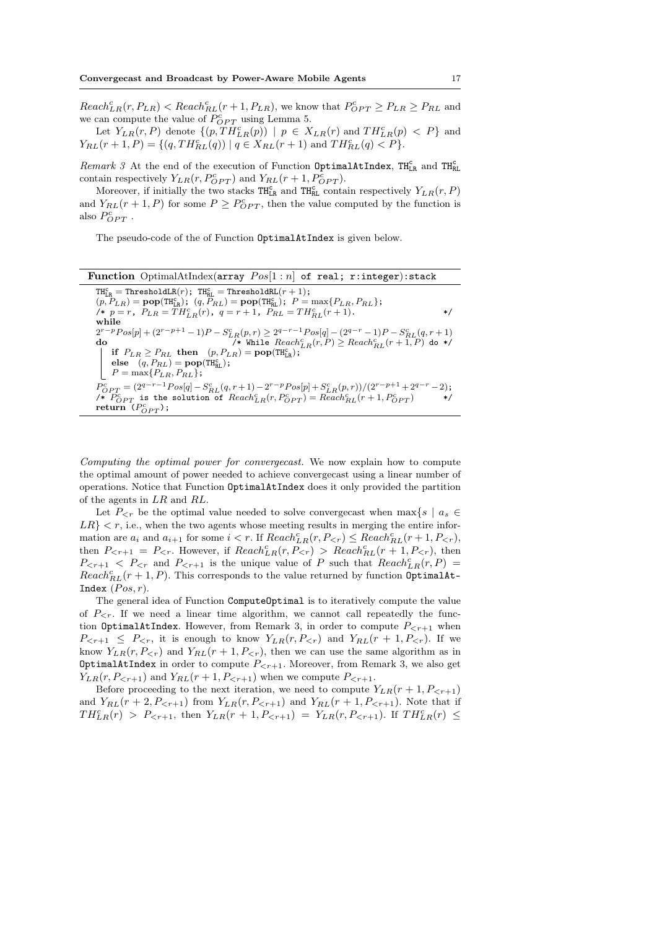$Reach_{LR}^c(r, P_{LR}) < Readh_{RL}^c(r+1, P_{LR})$ , we know that  $P_{OPT}^c \ge P_{LR} \ge P_{RL}$  and we can compute the value of  $P_{OPT}^c$  using Lemma 5.

Let  $Y_{LR}(r, P)$  denote  $\{(p, TH_{LR}^c(p)) \mid p \in X_{LR}(r) \text{ and } TH_{LR}^c(p) < P\}$  and  $Y_{RL}(r+1, P) = \{ (q, TH_{RL}^c(q)) \mid q \in X_{RL}(r+1) \text{ and } TH_{RL}^c(q) < P \}.$ 

Remark 3 At the end of the execution of Function OptimalAtIndex,  $TH_{LR}^c$  and  $TH_{RL}^c$ contain respectively  $Y_{LR}(r, P_{OPT}^c)$  and  $Y_{RL}(r + 1, P_{OPT}^c)$ .

Moreover, if initially the two stacks  $TH_{LR}^c$  and  $TH_{RL}^c$  contain respectively  $Y_{LR}(r, P)$ and  $Y_{RL}(r+1, P)$  for some  $P \ge P_{OPT}^c$ , then the value computed by the function is also  $P_{OPT}^c$ .

The pseudo-code of the of Function OptimalAtIndex is given below.

| <b>Function</b> OptimalAtIndex(array $Pos[1:n]$ of real; r:integer):stack                                             |
|-----------------------------------------------------------------------------------------------------------------------|
| $TH_{IR}^c = ThresholdLR(r); TH_{RI}^c = ThresholdRL(r + 1);$                                                         |
| $(p, P_{LR}) = \text{pop}(\text{TH}_{LR}^c); (q, P_{RL}) = \text{pop}(\text{TH}_{RL}^c); P = \max\{P_{LR}, P_{RL}\};$ |
| /* $p = r$ , $P_{LR} = TH_{LR}^c(r)$ , $q = r + 1$ , $P_{RL} = TH_{RL}^c(r + 1)$ .<br>$* /$                           |
| while                                                                                                                 |
| $2^{r-p}Pos[p] + (2^{r-p+1}-1)P - S_{L,R}^c(p,r) \geq 2^{q-r-1}Pos[q] - (2^{q-r}-1)P - S_{R,L}^c(q,r+1)$              |
| /* While $Reach_{LR}^c(r, P) \geq Reach_{RL}^c(r+1, P)$ do */<br>do                                                   |
| if $P_{LR} \geq P_{RL}$ then $(p, P_{LR}) = \text{pop}(\text{TH}^c_{LR});$                                            |
| else $(q, P_{RL}) = \text{pop}(\text{TH}_{\text{RI}}^{\text{c}});$                                                    |
| $P = \max\{P_{LR}, P_{RL}\};$                                                                                         |
| $P_{OPT}^c = (2^{q-r-1}Pos[q] - S_{BL}^c(q,r+1) - 2^{r-p}Pos[p] + S_{LB}^c(p,r))/(2^{r-p+1} + 2^{q-r} - 2);$          |
| /* $P_{OPT}^c$ is the solution of $Reach_{LR}^c(r, P_{OPT}^c) =Reach_{RL}^c(r+1, P_{OPT}^c)$<br>$\ast/$               |
| return $(P_{OPT}^c)$ ;                                                                                                |

Computing the optimal power for converge cast. We now explain how to compute the optimal amount of power needed to achieve convergecast using a linear number of operations. Notice that Function OptimalAtIndex does it only provided the partition of the agents in LR and RL.

Let  $P_{\leq r}$  be the optimal value needed to solve convergecast when max{s |  $a_s \in$  $LR$   $\langle r, i.e.,$  when the two agents whose meeting results in merging the entire information are  $a_i$  and  $a_{i+1}$  for some  $i < r$ . If  $Reach_{LR}^c(r, P_{\leq r}) \leqReach_{RL}^c(r+1, P_{\leq r}),$ then  $P_{\leq r+1} = P_{\leq r}$ . However, if  $Reach_{LR}^c(r, P_{\leq r}) >Reach_{RL}^c(r+1, P_{\leq r})$ , then  $P_{\leq r+1} \leq P_{\leq r}$  and  $P_{\leq r+1}$  is the unique value of P such that  $Reach_{LR}^c(r, P)$  =  $Reach_{RL}^c(r + 1, P)$ . This corresponds to the value returned by function OptimalAt-Index  $(Pos, r)$ .

The general idea of Function ComputeOptimal is to iteratively compute the value of  $P_{\leq r}$ . If we need a linear time algorithm, we cannot call repeatedly the function OptimalAtIndex. However, from Remark 3, in order to compute  $P_{\leq r+1}$  when  $P_{\leq r+1} \leq P_{\leq r}$ , it is enough to know  $Y_{LR}(r, P_{\leq r})$  and  $Y_{RL}(r + 1, P_{\leq r})$ . If we know  $Y_{LR}(r, P_{\leq r})$  and  $Y_{RL}(r + 1, P_{\leq r})$ , then we can use the same algorithm as in **OptimalAtIndex** in order to compute  $P_{\leq r+1}$ . Moreover, from Remark 3, we also get  $Y_{LR}(r, P_{\leq r+1})$  and  $Y_{RL}(r+1, P_{\leq r+1})$  when we compute  $P_{\leq r+1}$ .

Before proceeding to the next iteration, we need to compute  $Y_{LR}(r+1, P_{\leq r+1})$ and  $Y_{RL}(r+2, P_{\leq r+1})$  from  $Y_{LR}(r, P_{\leq r+1})$  and  $Y_{RL}(r+1, P_{\leq r+1})$ . Note that if  $TH_{LR}^c(r) > P_{\leq r+1}$ , then  $Y_{LR}(r+1, P_{\leq r+1}) = Y_{LR}(r, P_{\leq r+1})$ . If  $TH_{LR}^c(r) \leq$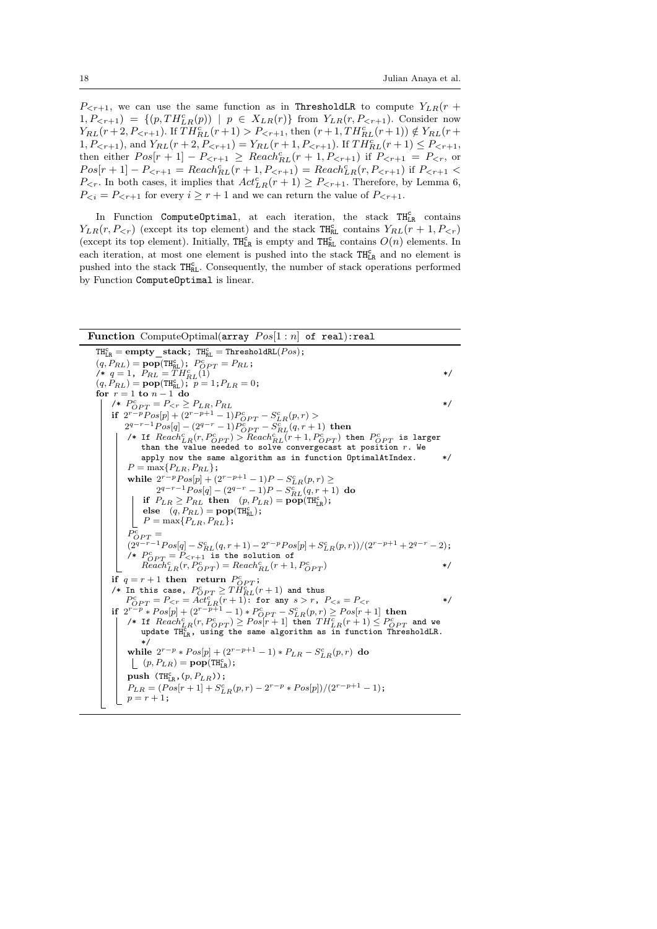$P_{\leq r+1}$ , we can use the same function as in ThresholdLR to compute  $Y_{LR}(r + 1)$  $1, P_{\leq r+1}$  =  $\{(p, TH_{LR}^c(p)) | p \in X_{LR}(r)\}\$  from  $Y_{LR}(r, P_{\leq r+1})$ . Consider now  $Y_{RL}(r+2, P_{< r+1})$ . If  $TH_{RL}^{c}(r+1) > P_{< r+1}$ , then  $(r+1, TH_{RL}^{c}(r+1)) \notin Y_{RL}(r+1)$ 1,  $P_{\leq r+1}$ ), and  $Y_{RL}(r+2, P_{\leq r+1}) = Y_{RL}(r+1, P_{\leq r+1})$ . If  $TH_{RL}^c(r+1) \leq P_{\leq r+1}$ , then either  $Pos[r + 1] - P_{< r+1} \geq Reach_{RL}^{c}(r + 1, P_{< r+1})$  if  $P_{< r+1} = P_{< r}$ , or  $Pos[r+1] - P_{< r+1} = Reach_{RL}^{c}(r+1, P_{< r+1}) = Reach_{LR}^{c}(r, P_{< r+1})$  if  $P_{< r+1}$  $P_{\leq r}$ . In both cases, it implies that  $Act_{LR}^{c}(r+1) \geq P_{\leq r+1}$ . Therefore, by Lemma 6,  $P_{\leq i} = P_{\leq r+1}$  for every  $i \geq r+1$  and we can return the value of  $P_{\leq r+1}$ .

In Function ComputeOptimal, at each iteration, the stack  $TH_{LR}^c$  contains  $Y_{LR}(r, P_{\leq r})$  (except its top element) and the stack  $\texttt{TH}_{\texttt{RL}}^{\texttt{c}}$  contains  $Y_{RL}(r + 1, P_{\leq r})$ (except its top element). Initially,  $TH_{LR}^c$  is empty and  $TH_{RL}^c$  contains  $O(n)$  elements. In each iteration, at most one element is pushed into the stack  $TH_{LR}^c$  and no element is pushed into the stack  $TH_{RL}^c$ . Consequently, the number of stack operations performed by Function ComputeOptimal is linear.

```
Function ComputeOptimal(array Pos[1:n] of real):real
   \texttt{TH}_{\texttt{LR}}^{\texttt{c}} = \textbf{empty\_stack;}\ \texttt{TH}_{\texttt{RL}}^{\texttt{c}} = \texttt{ThresholdRL}(Pos);(q, P_{RL}) = \overline{\text{pop}}(\text{TH}_{\text{RL}}^{\text{c}}); \ P_{OPT}^{\text{c}} = P_{RL};/* q = 1, P_{RL} = TH_{RL}^{c}(1)
                                     \frac{c}{RL}(1) */
   (q, P_{RL}) = \text{pop}(\text{TH}_{\text{RL}}^{\text{c}}); \ p = 1; P_{LR} = 0;for r = 1 to n - 1 do
         /* P_C^cO_{OPT}^c = P_{\leq r} \geq P_{LR}, P_{RL} */
         if 2^{r-p}Pos[p] + (2^{r-p+1}-1)P_{OPT}^c - S_{LR}^c(p,r) >2^{q-r-1}Pos[q] - (2^{q-r}-1)P^c_{OPT} - S^c_{RL}(q, r+1) then<br>
/* If Reach^c_{LR}(r, P^c_{OPT}) >Reach^c_{RL}(r+1, P^c_{OPT}) then P^c_{OPT} is larger
                    than the value needed to solve converge cast at position r. We
                   apply now the same algorithm as in function OptimalAtIndex. */P = \max\{P_{LR}, P_{RL}\};while 2^{r-p}Pos[p] + (2^{r-p+1}-1)P - S_{LR}^c(p,r) \ge2^{q-r-1}Pos[q] - (2^{q-r}-1)P - S_{RL}^{c}(q, r+1) do
                     if P_{LR} \ge P_{RL} then (p, P_{LR}) = pop(\text{TH}^c_{LR});else (q, P_{RL}) = \text{pop}(\text{TH}_{\text{RL}}^{\text{c}});P = \max\{P_{LR}, P_{RL}\};P_{OPT}^c =(2^{q-r-1}Pos[q] - S_{RL}^c(q, r+1) - 2^{r-p}Pos[p] + S_{LR}^c(p, r))/(2^{r-p+1} + 2^{q-r} - 2);<br>
/* P_{OPT}^c = P_{\leq r+1} is the solution of
                    \widetilde{Reach}_{LR}^c(r, P_{OPT}^c) = Reach_{RL}^c(r+1, P_C^c)\frac{\partial c}{\partial PT} */
         if q = r + 1 then return P_{OPT}^c;<br>
/* In this case, P_{OPT}^c \geq TH_{RL}^c(r+1) and thus<br>
P_{OPT}^c = P_{\leq r} = Act_{LR}^c(r+1): for any s > r, P_{\leq s} = P_{\leq r} */
         \begin{array}{c} \text{if } 2^{r-p} * Pos[p] + (2^{r-p+1} - 1) * P_{OPT}^c - S_{LR}^c(p, r) \geq Pos[r+1] \text{ then } \\qquad \qquad \text{if } Reach_{LR}^c(r, P_{OPT}^c) \geq Pos[r+1] \text{ then } TH_{LR}^c(r+1) \leq P_{OPT}^c \text{ and we } \\qquad \qquad \text{update } TH_{LR}^c, \text{ using the same algorithm as in function ThresholdLR. } \\qquad \qquad \ast/ \end{array}while 2^{r-p} * Pos[p] + (2^{r-p+1} - 1) * P_{LR} - S_{LR}^c(p, r) do
                     (p, P_{LR}) = \text{pop}(\texttt{TH}^c_{LR});push (\text{TH}^c_{LR}, (p, P_{LR}));
               P_{LR} = (Pos[r + 1] + S_{LR}^c(p, r) - 2^{r-p} * Pos[p])/(2^{r-p+1} - 1);p = r + 1;
```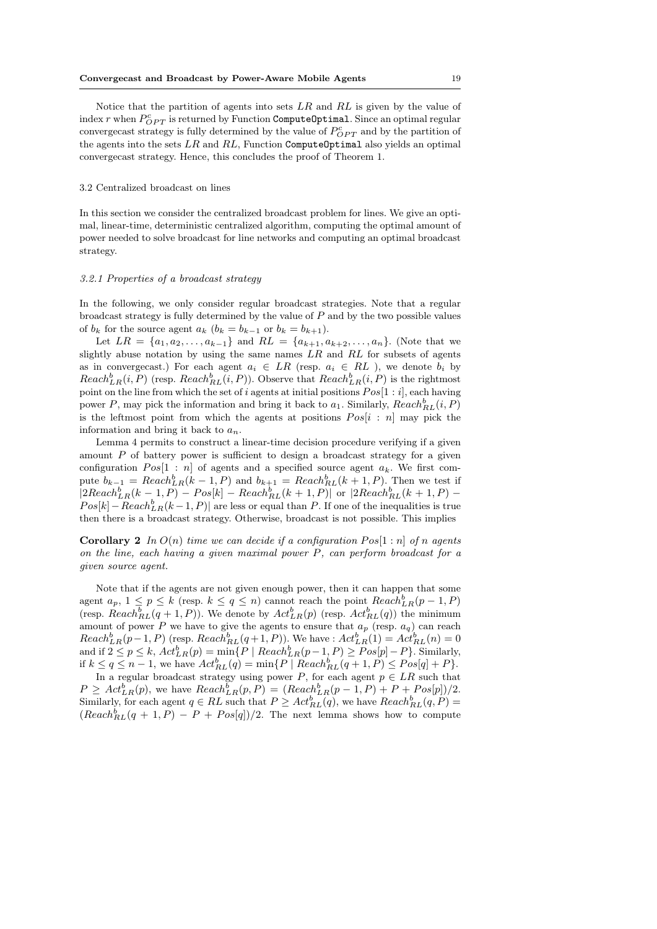Notice that the partition of agents into sets  $LR$  and  $RL$  is given by the value of  ${\rm index}\, r$  when  $P^c_{OPT}$  is returned by Function ComputeOptimal. Since an optimal regular convergecast strategy is fully determined by the value of  $P_{OPT}^c$  and by the partition of the agents into the sets  $LR$  and  $RL$ , Function ComputeDptimal also yields an optimal convergecast strategy. Hence, this concludes the proof of Theorem 1.

#### 3.2 Centralized broadcast on lines

In this section we consider the centralized broadcast problem for lines. We give an optimal, linear-time, deterministic centralized algorithm, computing the optimal amount of power needed to solve broadcast for line networks and computing an optimal broadcast strategy.

#### 3.2.1 Properties of a broadcast strategy

In the following, we only consider regular broadcast strategies. Note that a regular broadcast strategy is fully determined by the value of  $P$  and by the two possible values of  $b_k$  for the source agent  $a_k$   $(b_k = b_{k-1}$  or  $b_k = b_{k+1}$ .

Let  $LR = \{a_1, a_2, \ldots, a_{k-1}\}\$  and  $RL = \{a_{k+1}, a_{k+2}, \ldots, a_n\}$ . (Note that we slightly abuse notation by using the same names  $LR$  and  $RL$  for subsets of agents as in convergecast.) For each agent  $a_i \in LR$  (resp.  $a_i \in RL$ ), we denote  $b_i$  by  $Reach_{LR}^b(i, P)$  (resp.  $Reach_{RL}^b(i, P)$ ). Observe that  $Reach_{LR}^b(i, P)$  is the rightmost point on the line from which the set of i agents at initial positions  $Pos[1:i]$ , each having power P, may pick the information and bring it back to  $a_1$ . Similarly,  $Reach_{RL}^b(i, P)$ is the leftmost point from which the agents at positions  $Pos[i : n]$  may pick the information and bring it back to  $a_n$ .

Lemma 4 permits to construct a linear-time decision procedure verifying if a given amount  $P$  of battery power is sufficient to design a broadcast strategy for a given configuration  $Pos[1:n]$  of agents and a specified source agent  $a_k$ . We first compute  $b_{k-1} = Reach_{LR}^{b}(k-1, P)$  and  $b_{k+1} = Reach_{RL}^{b}(k+1, P)$ . Then we test if  $|2Reach_{LR}^b(k-1,P) - Pos[k] -Reach_{RL}^b(k+1,P)|$  or  $|2Reach_{RL}^b(k+1,P) Pos[k]-Reach_{LR}^{b}(k-1, P)|$  are less or equal than P. If one of the inequalities is true then there is a broadcast strategy. Otherwise, broadcast is not possible. This implies

**Corollary 2** In  $O(n)$  time we can decide if a configuration Pos[1 : n] of n agents on the line, each having a given maximal power P, can perform broadcast for a given source agent.

Note that if the agents are not given enough power, then it can happen that some agent  $a_p$ ,  $1 \leq p \leq k$  (resp.  $k \leq q \leq n$ ) cannot reach the point  $Reach_{LR}^b(p-1, P)$ (resp.  $Reach_{RL}^b(q + 1, P)$ ). We denote by  $Act_{LR}^b(p)$  (resp.  $Act_{RL}^b(q)$ ) the minimum amount of power P we have to give the agents to ensure that  $a_p$  (resp.  $a_q$ ) can reach  $Reach_{LR}^b(p-1, P)$  (resp.  $Reach_{RL}^b(q+1, P)$ ). We have :  $Act_{LR}^b(1) = Act_{RL}^b(n) = 0$ and if  $2 \le p \le k$ ,  $Act_{LR}^{b}(p) = \min\{P \mid Readch_{LR}^{b}(p-1, P) \ge Pos[p]-P\}$ . Similarly, if  $k \le q \le n-1$ , we have  $Act_{RL}^{b}(q) = \min\{P \mid Readch_{RL}^{b}(q+1, P) \le Pos[q] + P\}.$ In a regular broadcast strategy using power  $P$ , for each agent  $p \in LR$  such that  $P \geq Act_{LR}^b(p)$ , we have  $Reach_{LR}^b(p, P) = (Reach_{LR}^b(p-1, P) + P + Pos[p])/2$ . Similarly, for each agent  $q \in RL$  such that  $P \geq Act_{RL}^b(q)$ , we have  $Reach_{RL}^b(q, P)$  $(Reach_{RL}^b(q + 1, P) - P + Pos[q])/2$ . The next lemma shows how to compute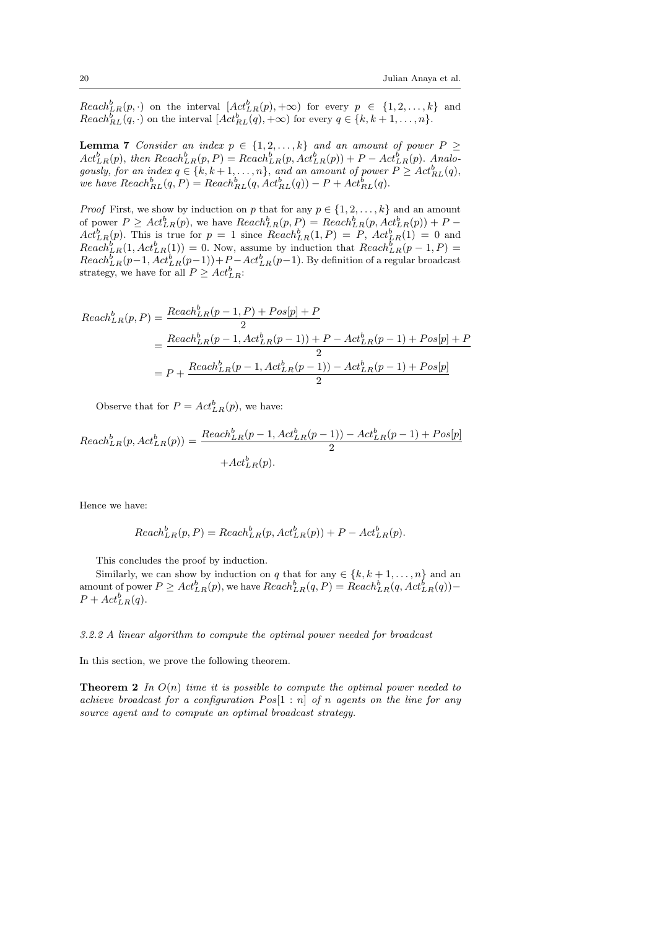$Reach_{LR}^b(p, \cdot)$  on the interval  $[Act_{LR}^b(p), +\infty)$  for every  $p \in \{1, 2, ..., k\}$  and  $Reach_{RL}^b(q, \cdot)$  on the interval  $[Act_{RL}^b(q), +\infty)$  for every  $q \in \{k, k+1, \ldots, n\}$ .

**Lemma 7** Consider an index  $p \in \{1, 2, ..., k\}$  and an amount of power  $P \geq$  $Act_{LR}^b(p)$ , then  $Reach_{LR}^b(p, P) =Reach_{LR}^b(p, Act_{LR}^b(p)) + P - Act_{LR}^b(p)$ . Analogously, for an index  $q \in \{k, k+1, \ldots, n\}$ , and an amount of power  $P \geq Act_{RL}^b(q)$ , we have  $Reach_{RL}^b(q, P) =Reach_{RL}^b(q, Act_{RL}^b(q)) - P + Act_{RL}^b(q)$ .

*Proof* First, we show by induction on p that for any  $p \in \{1, 2, ..., k\}$  and an amount of power  $P \geq Act_{LR}^b(p)$ , we have  $Reach_{LR}^b(p, P) =Reach_{LR}^b(p, Act_{LR}^b(p)) + P Act_{LR}^b(p)$ . This is true for  $p = 1$  since  $Reach_{LR}^b(1, P) = P$ ,  $Act_{LR}^b(1) = 0$  and  $Reach_{LR}^b(1, Act_{LR}^b(1)) = 0$ . Now, assume by induction that  $Reach_{LR}^b(p-1, P) =$  $Reach_{LR}^b(p-1, Act_{LR}^b(p-1))+P-Act_{LR}^b(p-1)$ . By definition of a regular broadcast strategy, we have for all  $P \geq Act_{LR}^b$ :

$$
Reach_{LR}^b(p, P) = \frac{Reach_{LR}^b(p-1, P) + Pos[p] + P}{2}
$$
  
= 
$$
\frac{Reach_{LR}^b(p-1, Act_{LR}^b(p-1)) + P - Act_{LR}^b(p-1) + Pos[p] + P}{2}
$$
  
= 
$$
P + \frac{Reach_{LR}^b(p-1, Act_{LR}^b(p-1)) - Act_{LR}^b(p-1) + Pos[p]}{2}
$$

Observe that for  $P = Act_{LR}^b(p)$ , we have:

$$
Reach_{LR}^b(p, Act_{LR}^b(p)) = \frac{Reach_{LR}^b(p-1, Act_{LR}^b(p-1)) - Act_{LR}^b(p-1) + Pos[p]}{2}
$$

$$
+ Act_{LR}^b(p).
$$

Hence we have:

$$
Reach_{LR}^b(p, P) =Reach_{LR}^b(p, Act_{LR}^b(p)) + P - Act_{LR}^b(p).
$$

This concludes the proof by induction.

Similarly, we can show by induction on q that for any  $\in \{k, k+1, \ldots, n\}$  and an amount of power  $P \geq Act_{LR}^b(p)$ , we have  $Reach_{LR}^b(q, P) =Reach_{LR}^b(q, Act_{LR}^b(q))$  –  $P + Act_{LR}^{b}(q)$ .

3.2.2 A linear algorithm to compute the optimal power needed for broadcast

In this section, we prove the following theorem.

**Theorem 2** In  $O(n)$  time it is possible to compute the optimal power needed to achieve broadcast for a configuration  $Pos[1:n]$  of n agents on the line for any source agent and to compute an optimal broadcast strategy.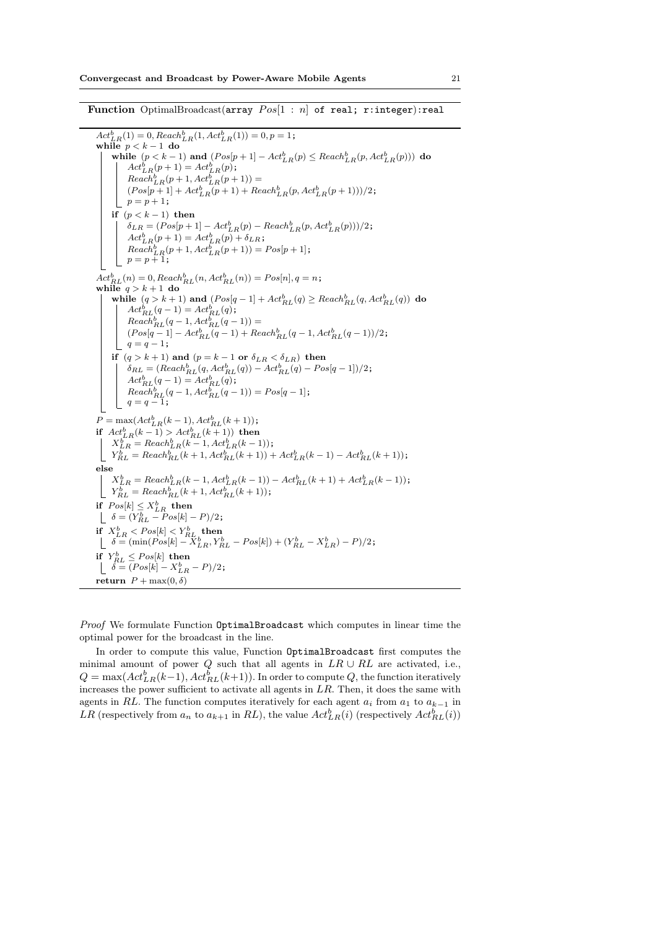Function OptimalBroadcast(array  $Pos[1:n]$  of real; r:integer):real

$$
Act_{LR}^{b}(1) = 0, Reach_{LR}^{b}(1, Act_{LR}^{b}(1)) = 0, p = 1;
$$
\nwhile  $p < k - 1$  on  
\nwhile  $p' < k - 1$  on  
\n $Act_{LR}^{b}(p + 1) = Act_{LR}^{b}(p);$ \n $Recah_{LR}^{b}(p, Act_{LR}^{b}(p))$  do  
\n $Act_{LR}^{b}(p + 1) = Act_{LR}^{b}(p);$ \n $Recah_{LR}^{b}(p + 1) =$ \n $(Pos[p + 1] + Act_{LR}^{b}(p + 1)) =$ \n $(Pos[p + 1] + Act_{LR}^{b}(p + 1)) =$ \n $pre + 1;$ \nif  $(p < k - 1)$  then  
\n $\delta_{LR} = (Pos[p + 1] - Act_{LR}^{b}(p) - Reach_{LR}^{b}(p, Act_{LR}^{b}(p)))/2;$ \n $Act_{LR}^{b}(p + 1) = Act_{LR}^{b}(p) + \delta_{LR};$ \nif  $(p < k - 1)$  then  
\n $\delta_{LR} = (Pos[p + 1] - Act_{LR}^{b}(p) + \delta_{LR};$ \n $Per_{LR}^{b}(p + 1)) = Pos[p + 1];$ \n $Per_{LR}^{b}(p + 1)$  and  $(Pos[q - 1] + Act_{RL}^{b}(q) \geq Reach_{RL}^{b}(q, Act_{RL}^{b}(q))$  do  
\n $det_{RL}^{b}(q - 1) = Act_{RL}^{b}(q);$ \n $Recah_{RL}^{b}(q - 1) = Act_{RL}^{b}(q);$ \n $Recah_{RL}^{b}(q - 1) = Act_{RL}^{b}(q);$ \n $Recah_{RL}^{b}(q - 1) = Act_{RL}^{b}(q);$ \n $Recah_{RL}^{b}(q - 1) = Act_{RL}^{b}(q);$ \n $Recah_{RL}^{b}(q - 1) = Act_{RL}^{b}(q);$ \n $Recah_{RL}^{b}(q - 1) = Act_{RL}^{b}(q);$ \n $Recah_{RL}^{b}(q - 1) = Act_{RL}^{b}(q);$ \n $Recah_{RL}^{b}(q - 1) = Act_{RL}^{b$ 

Proof We formulate Function OptimalBroadcast which computes in linear time the optimal power for the broadcast in the line.

In order to compute this value, Function OptimalBroadcast first computes the minimal amount of power Q such that all agents in  $LR \cup RL$  are activated, i.e.,  $Q = \max(Act_{LR}^{b}(k-1), Act_{RL}^{b}(k+1)).$  In order to compute  $Q$ , the function iteratively increases the power sufficient to activate all agents in  $LR$ . Then, it does the same with agents in RL. The function computes iteratively for each agent  $a_i$  from  $a_1$  to  $a_{k-1}$  in LR (respectively from  $a_n$  to  $a_{k+1}$  in RL), the value  $Act_{LR}^b(i)$  (respectively  $Act_{RL}^b(i)$ )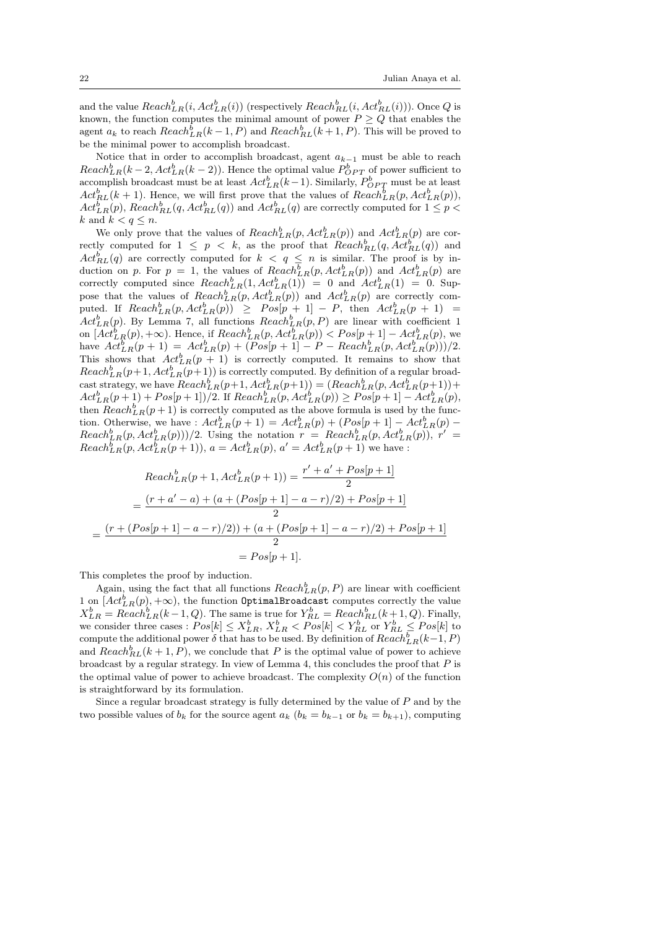and the value  $Reach_{LR}^b(i, Act_{LR}^b(i))$  (respectively  $Reach_{RL}^b(i, Act_{RL}^b(i)))$ . Once Q is known, the function computes the minimal amount of power  $P \ge Q$  that enables the agent  $a_k$  to reach  $Reach_{LR}^b(k-1, P)$  and  $Reach_{RL}^b(k+1, P)$ . This will be proved to be the minimal power to accomplish broadcast.

Notice that in order to accomplish broadcast, agent  $a_{k-1}$  must be able to reach  $Reach_{LR}^b(k-2, Act_{LR}^b(k-2))$ . Hence the optimal value  $P_{OPT}^b$  of power sufficient to accomplish broadcast must be at least  $Act_{LR}^{b}(k-1)$ . Similarly,  $P_{OPT}^{b}$  must be at least  $Act_{RL}^{b}(k+1)$ . Hence, we will first prove that the values of  $Reach_{LR}^{b}(p, Act_{LR}^{b}(p)),$  $Act_{LR}^{b}(p)$ ,  $Reach_{RL}^{b}(q, Act_{RL}^{b}(q))$  and  $Act_{RL}^{b}(q)$  are correctly computed for  $1 \leq p <$ k and  $k < q \leq n$ .

We only prove that the values of  $Reach_{LR}^b(p, Act_{LR}^b(p))$  and  $Act_{LR}^b(p)$  are correctly computed for  $1 \leq p \leq k$ , as the proof that  $Reach_{RL}^b(q, Act_{RL}^b(q))$  and  $Act_{RL}^{b}(q)$  are correctly computed for  $k < q \leq n$  is similar. The proof is by induction on p. For  $p = 1$ , the values of  $Reach_{LR}^b(p, Act_{LR}^b(p))$  and  $Act_{LR}^b(p)$  are correctly computed since  $Reach_{LR}^b(1, Act_{LR}^b(1)) = 0$  and  $Act_{LR}^b(1) = 0$ . Suppose that the values of  $Reach_{LR}^b(p, Act_{LR}^b(p))$  and  $Act_{LR}^b(p)$  are correctly computed. If  $Reach_{LR}^b(p, Act_{LR}^b(p)) \ge Pos[p + 1] - P$ , then  $Act_{LR}^b(p + 1) =$  $Act_{LR}^{b}(p)$ . By Lemma 7, all functions  $Reach_{LR}^{b}(p, P)$  are linear with coefficient 1 on  $[Act_{LR}^b(p),+\infty)$ . Hence, if  $Reach_{LR}^b(p, Act_{LR}^b(p)) < Pos[p+1] - Act_{LR}^b(p)$ , we have  $Act_{LR}^{b}(p + 1) = Act_{LR}^{b}(p) + (Pos[p + 1] - P - Reach_{LR}^{b}(p, Act_{LR}^{b}(p)))/2.$ This shows that  $Act_{LR}^b(p + 1)$  is correctly computed. It remains to show that  $Reach_{LR}^b(p+1, Act_{LR}^b(p+1))$  is correctly computed. By definition of a regular broadcast strategy, we have  $Reach_{LR}^b(p+1, Act_{LR}^b(p+1)) = (Reach_{LR}^b(p, Act_{LR}^b(p+1)) +$  $Act_{LR}^b(p+1) + Pos[p+1])/2.$  If  $Reach_{LR}^b(p, Act_{LR}^b(p)) \ge Pos[p+1] - Act_{LR}^b(p),$ then  $Reach_{LR}^b(p+1)$  is correctly computed as the above formula is used by the function. Otherwise, we have :  $Act_{LR}^{b}(p + 1) = Act_{LR}^{b}(p) + (Pos[p + 1] - Act_{LR}^{b}(p) Reach_{LR}^b(p, Act_{LR}^b(p)))/2$ . Using the notation  $r = Readch_{LR}^b(p, Act_{LR}^b(p))$ ,  $r' =$  $Reach_{LR}^b(p, Act_{LR}^b(p+1)), a = Act_{LR}^b(p), a' = Act_{LR}^b(p+1)$  we have :

$$
Reach_{LR}^b(p+1, Act_{LR}^b(p+1)) = \frac{r' + a' + Pos[p+1]}{2}
$$
  
= 
$$
\frac{(r + a' - a) + (a + (Pos[p+1] - a - r)/2) + Pos[p+1]}{2}
$$
  
= 
$$
\frac{(r + (Pos[p+1] - a - r)/2)) + (a + (Pos[p+1] - a - r)/2) + Pos[p+1]}{2}
$$
  
= 
$$
Pos[p+1].
$$

This completes the proof by induction.

Again, using the fact that all functions  $Reach_{LR}^b(p, P)$  are linear with coefficient 1 on  $[Act_{LR}^{b}(p), +\infty)$ , the function **OptimalBroadcast** computes correctly the value  $X_{LR}^b = Reach_{LR}^b(k-1, Q)$ . The same is true for  $Y_{RL}^b = Reach_{RL}^b(k+1, Q)$ . Finally, we consider three cases :  $Pos[k] \leq X_{LR}^b, X_{LR}^b < Pos[k] < Y_{RL}^b$  or  $Y_{RL}^b \leq Pos[k]$  to compute the additional power  $\delta$  that has to be used. By definition of  $Reach_{LR}^b(k-1, P)$ and  $Reach_{RL}^b(k+1, P)$ , we conclude that P is the optimal value of power to achieve broadcast by a regular strategy. In view of Lemma 4, this concludes the proof that  $P$  is the optimal value of power to achieve broadcast. The complexity  $O(n)$  of the function is straightforward by its formulation.

Since a regular broadcast strategy is fully determined by the value of  $P$  and by the two possible values of  $b_k$  for the source agent  $a_k$  ( $b_k = b_{k-1}$  or  $b_k = b_{k+1}$ ), computing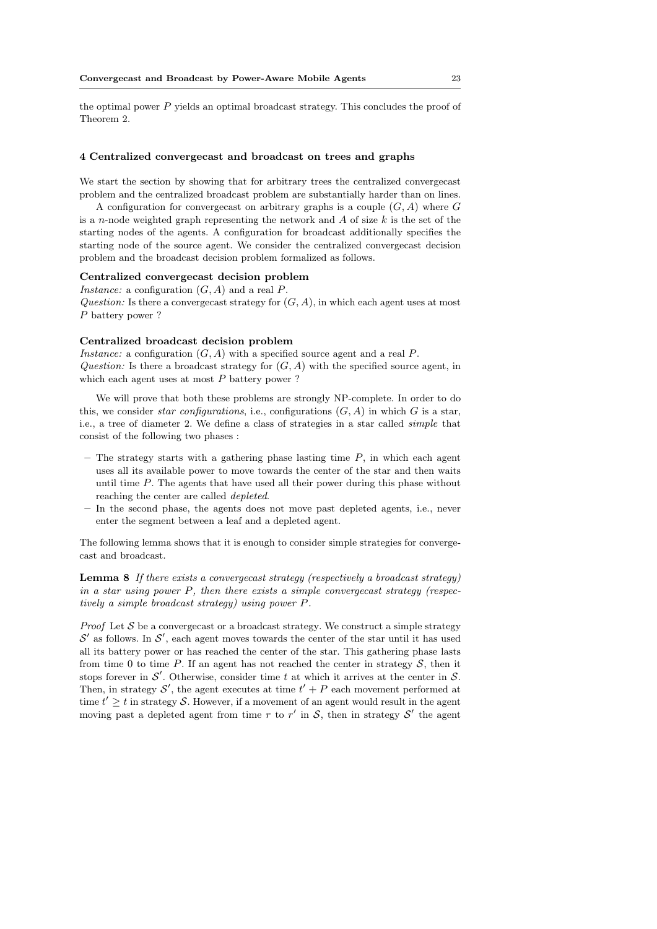the optimal power P yields an optimal broadcast strategy. This concludes the proof of Theorem 2.

#### 4 Centralized convergecast and broadcast on trees and graphs

We start the section by showing that for arbitrary trees the centralized convergecast problem and the centralized broadcast problem are substantially harder than on lines.

A configuration for convergecast on arbitrary graphs is a couple  $(G, A)$  where G is a n-node weighted graph representing the network and  $A$  of size  $k$  is the set of the starting nodes of the agents. A configuration for broadcast additionally specifies the starting node of the source agent. We consider the centralized convergecast decision problem and the broadcast decision problem formalized as follows.

# Centralized convergecast decision problem

*Instance:* a configuration  $(G, A)$  and a real P.

Question: Is there a converge cast strategy for  $(G, A)$ , in which each agent uses at most P battery power ?

#### Centralized broadcast decision problem

Instance: a configuration  $(G, A)$  with a specified source agent and a real P. Question: Is there a broadcast strategy for  $(G, A)$  with the specified source agent, in which each agent uses at most  $P$  battery power?

We will prove that both these problems are strongly NP-complete. In order to do this, we consider *star configurations*, i.e., configurations  $(G, A)$  in which G is a star, i.e., a tree of diameter 2. We define a class of strategies in a star called simple that consist of the following two phases :

- The strategy starts with a gathering phase lasting time  $P$ , in which each agent uses all its available power to move towards the center of the star and then waits until time  $P$ . The agents that have used all their power during this phase without reaching the center are called depleted.
- In the second phase, the agents does not move past depleted agents, i.e., never enter the segment between a leaf and a depleted agent.

The following lemma shows that it is enough to consider simple strategies for convergecast and broadcast.

Lemma 8 If there exists a converge cast strategy (respectively a broadcast strategy) in a star using power  $P$ , then there exists a simple converge cast strategy (respectively a simple broadcast strategy) using power P.

*Proof* Let  $S$  be a convergecast or a broadcast strategy. We construct a simple strategy  $\mathcal{S}'$  as follows. In  $\mathcal{S}'$ , each agent moves towards the center of the star until it has used all its battery power or has reached the center of the star. This gathering phase lasts from time 0 to time  $P$ . If an agent has not reached the center in strategy  $S$ , then it stops forever in  $\mathcal{S}'$ . Otherwise, consider time t at which it arrives at the center in  $\mathcal{S}$ . Then, in strategy  $\mathcal{S}'$ , the agent executes at time  $t' + P$  each movement performed at time  $t' \geq t$  in strategy S. However, if a movement of an agent would result in the agent moving past a depleted agent from time r to r' in S, then in strategy  $S'$  the agent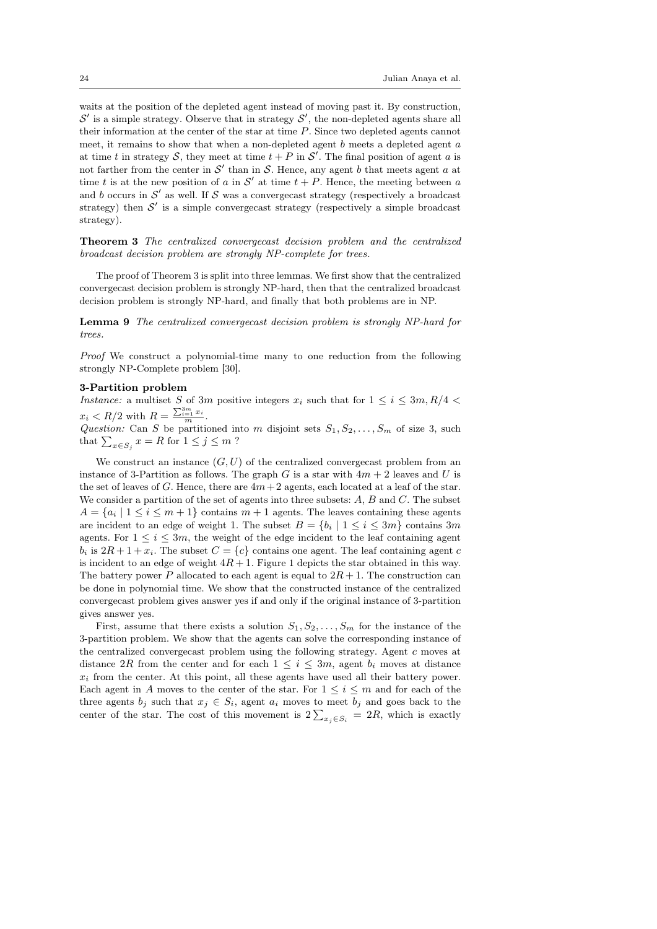waits at the position of the depleted agent instead of moving past it. By construction,  $\mathcal{S}'$  is a simple strategy. Observe that in strategy  $\mathcal{S}'$ , the non-depleted agents share all their information at the center of the star at time P. Since two depleted agents cannot meet, it remains to show that when a non-depleted agent  $b$  meets a depleted agent  $a$ at time t in strategy S, they meet at time  $t + P$  in S'. The final position of agent a is not farther from the center in  $\mathcal{S}'$  than in  $\mathcal{S}$ . Hence, any agent b that meets agent a at time t is at the new position of a in  $\mathcal{S}'$  at time  $t + P$ . Hence, the meeting between a and b occurs in  $\mathcal{S}'$  as well. If  $\mathcal S$  was a converge cast strategy (respectively a broadcast strategy) then  $\mathcal{S}'$  is a simple convergecast strategy (respectively a simple broadcast strategy).

Theorem 3 The centralized convergecast decision problem and the centralized broadcast decision problem are strongly NP-complete for trees.

The proof of Theorem 3 is split into three lemmas. We first show that the centralized convergecast decision problem is strongly NP-hard, then that the centralized broadcast decision problem is strongly NP-hard, and finally that both problems are in NP.

Lemma 9 The centralized convergecast decision problem is strongly NP-hard for trees.

Proof We construct a polynomial-time many to one reduction from the following strongly NP-Complete problem [30].

# 3-Partition problem

Instance: a multiset S of 3m positive integers  $x_i$  such that for  $1 \leq i \leq 3m, R/4$  $x_i < R/2$  with  $R = \frac{\sum_{i=1}^{3m} x_i}{m}$ .

Question: Can S be partitioned into m disjoint sets  $S_1, S_2, \ldots, S_m$  of size 3, such that  $\sum_{x \in S_j} x = R$  for  $1 \leq j \leq m$  ?

We construct an instance  $(G, U)$  of the centralized converge cast problem from an instance of 3-Partition as follows. The graph G is a star with  $4m + 2$  leaves and U is the set of leaves of  $G$ . Hence, there are  $4m+2$  agents, each located at a leaf of the star. We consider a partition of the set of agents into three subsets:  $A, B$  and  $C$ . The subset  $A = \{a_i \mid 1 \leq i \leq m+1\}$  contains  $m+1$  agents. The leaves containing these agents are incident to an edge of weight 1. The subset  $B = \{b_i \mid 1 \le i \le 3m\}$  contains 3m agents. For  $1 \leq i \leq 3m$ , the weight of the edge incident to the leaf containing agent  $b_i$  is  $2R+1+x_i$ . The subset  $C = \{c\}$  contains one agent. The leaf containing agent c is incident to an edge of weight  $4R + 1$ . Figure 1 depicts the star obtained in this way. The battery power P allocated to each agent is equal to  $2R + 1$ . The construction can be done in polynomial time. We show that the constructed instance of the centralized convergecast problem gives answer yes if and only if the original instance of 3-partition gives answer yes.

First, assume that there exists a solution  $S_1, S_2, \ldots, S_m$  for the instance of the 3-partition problem. We show that the agents can solve the corresponding instance of the centralized convergecast problem using the following strategy. Agent  $c$  moves at distance 2R from the center and for each  $1 \leq i \leq 3m$ , agent  $b_i$  moves at distance  $x_i$  from the center. At this point, all these agents have used all their battery power. Each agent in A moves to the center of the star. For  $1 \leq i \leq m$  and for each of the three agents  $b_j$  such that  $x_j \in S_i$ , agent  $a_i$  moves to meet  $b_j$  and goes back to the center of the star. The cost of this movement is  $2\sum_{x_j\in S_i} = 2R$ , which is exactly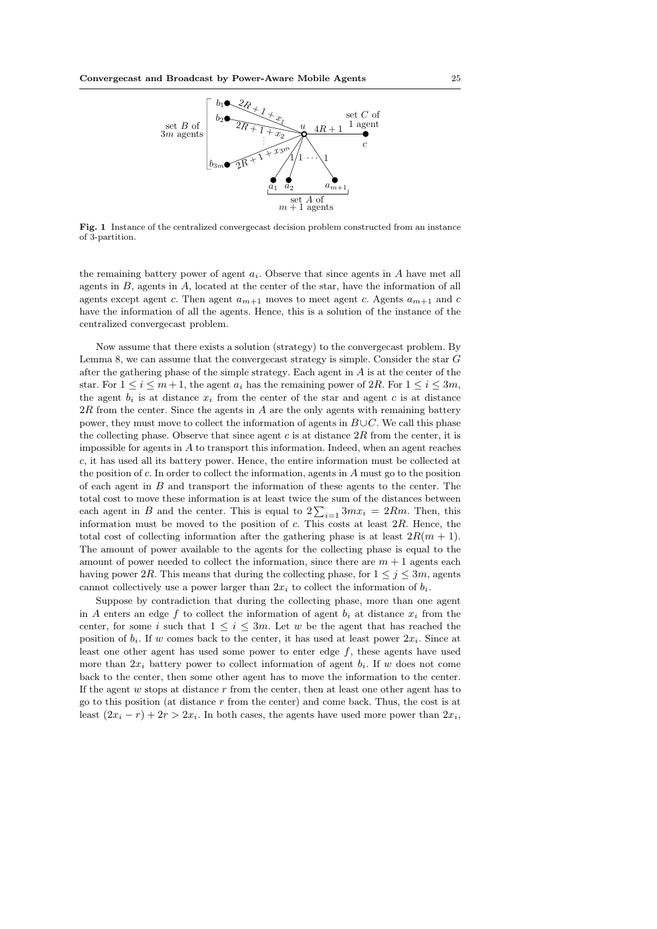

Fig. 1 Instance of the centralized convergecast decision problem constructed from an instance of 3-partition.

the remaining battery power of agent  $a_i$ . Observe that since agents in A have met all agents in  $B$ , agents in  $A$ , located at the center of the star, have the information of all agents except agent c. Then agent  $a_{m+1}$  moves to meet agent c. Agents  $a_{m+1}$  and c have the information of all the agents. Hence, this is a solution of the instance of the centralized convergecast problem.

Now assume that there exists a solution (strategy) to the convergecast problem. By Lemma 8, we can assume that the convergecast strategy is simple. Consider the star G after the gathering phase of the simple strategy. Each agent in  $A$  is at the center of the star. For  $1 \leq i \leq m+1$ , the agent  $a_i$  has the remaining power of  $2R$ . For  $1 \leq i \leq 3m$ , the agent  $b_i$  is at distance  $x_i$  from the center of the star and agent c is at distance  $2R$  from the center. Since the agents in A are the only agents with remaining battery power, they must move to collect the information of agents in  $B\cup C$ . We call this phase the collecting phase. Observe that since agent c is at distance  $2R$  from the center, it is impossible for agents in  $A$  to transport this information. Indeed, when an agent reaches c, it has used all its battery power. Hence, the entire information must be collected at the position of c. In order to collect the information, agents in A must go to the position of each agent in  $B$  and transport the information of these agents to the center. The total cost to move these information is at least twice the sum of the distances between each agent in B and the center. This is equal to  $2\sum_{i=1} 3mx_i = 2Rm$ . Then, this information must be moved to the position of  $c$ . This costs at least  $2R$ . Hence, the total cost of collecting information after the gathering phase is at least  $2R(m + 1)$ . The amount of power available to the agents for the collecting phase is equal to the amount of power needed to collect the information, since there are  $m + 1$  agents each having power 2R. This means that during the collecting phase, for  $1 \le j \le 3m$ , agents cannot collectively use a power larger than  $2x_i$  to collect the information of  $b_i$ .

Suppose by contradiction that during the collecting phase, more than one agent in A enters an edge f to collect the information of agent  $b_i$  at distance  $x_i$  from the center, for some i such that  $1 \leq i \leq 3m$ . Let w be the agent that has reached the position of  $b_i$ . If w comes back to the center, it has used at least power  $2x_i$ . Since at least one other agent has used some power to enter edge  $f$ , these agents have used more than  $2x_i$  battery power to collect information of agent  $b_i$ . If w does not come back to the center, then some other agent has to move the information to the center. If the agent  $w$  stops at distance  $r$  from the center, then at least one other agent has to go to this position (at distance r from the center) and come back. Thus, the cost is at least  $(2x_i - r) + 2r > 2x_i$ . In both cases, the agents have used more power than  $2x_i$ ,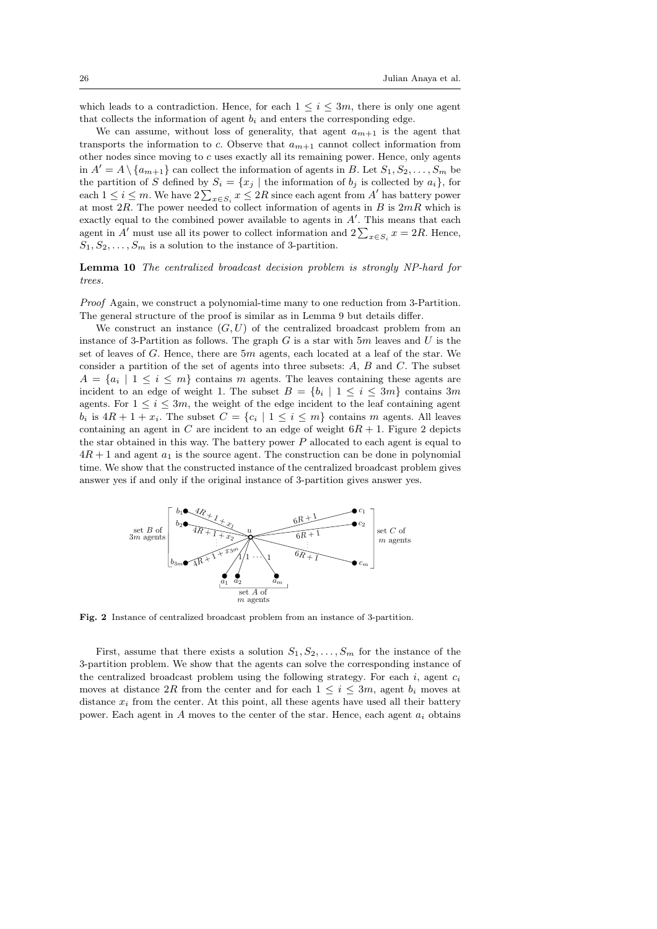which leads to a contradiction. Hence, for each  $1 \leq i \leq 3m$ , there is only one agent that collects the information of agent  $b_i$  and enters the corresponding edge.

We can assume, without loss of generality, that agent  $a_{m+1}$  is the agent that transports the information to c. Observe that  $a_{m+1}$  cannot collect information from other nodes since moving to c uses exactly all its remaining power. Hence, only agents in  $A' = A \setminus \{a_{m+1}\}\)$  can collect the information of agents in B. Let  $S_1, S_2, \ldots, S_m$  be the partition of S defined by  $S_i = \{x_j \mid$  the information of  $b_j$  is collected by  $a_i\}$ , for each  $1 \leq i \leq m$ . We have  $2 \sum_{x \in S_i} x \leq 2R$  since each agent from A' has battery power at most 2R. The power needed to collect information of agents in B is  $2mR$  which is exactly equal to the combined power available to agents in  $A'$ . This means that each agent in A' must use all its power to collect information and  $2\sum_{x\in S_i} x = 2R$ . Hence,  $S_1, S_2, \ldots, S_m$  is a solution to the instance of 3-partition.

Lemma 10 The centralized broadcast decision problem is strongly NP-hard for trees.

Proof Again, we construct a polynomial-time many to one reduction from 3-Partition. The general structure of the proof is similar as in Lemma 9 but details differ.

We construct an instance  $(G, U)$  of the centralized broadcast problem from an instance of 3-Partition as follows. The graph  $G$  is a star with  $5m$  leaves and U is the set of leaves of  $G$ . Hence, there are  $5m$  agents, each located at a leaf of the star. We consider a partition of the set of agents into three subsets:  $A, B$  and  $C$ . The subset  $A = \{a_i \mid 1 \leq i \leq m\}$  contains m agents. The leaves containing these agents are incident to an edge of weight 1. The subset  $B = \{b_i | 1 \le i \le 3m\}$  contains 3m agents. For  $1 \leq i \leq 3m$ , the weight of the edge incident to the leaf containing agent  $b_i$  is  $4R + 1 + x_i$ . The subset  $C = \{c_i | 1 \le i \le m\}$  contains m agents. All leaves containing an agent in C are incident to an edge of weight  $6R + 1$ . Figure 2 depicts the star obtained in this way. The battery power  $P$  allocated to each agent is equal to  $4R + 1$  and agent  $a_1$  is the source agent. The construction can be done in polynomial time. We show that the constructed instance of the centralized broadcast problem gives answer yes if and only if the original instance of 3-partition gives answer yes.



Fig. 2 Instance of centralized broadcast problem from an instance of 3-partition.

First, assume that there exists a solution  $S_1, S_2, \ldots, S_m$  for the instance of the 3-partition problem. We show that the agents can solve the corresponding instance of the centralized broadcast problem using the following strategy. For each  $i$ , agent  $c_i$ moves at distance 2R from the center and for each  $1 \leq i \leq 3m$ , agent  $b_i$  moves at distance  $x_i$  from the center. At this point, all these agents have used all their battery power. Each agent in A moves to the center of the star. Hence, each agent  $a_i$  obtains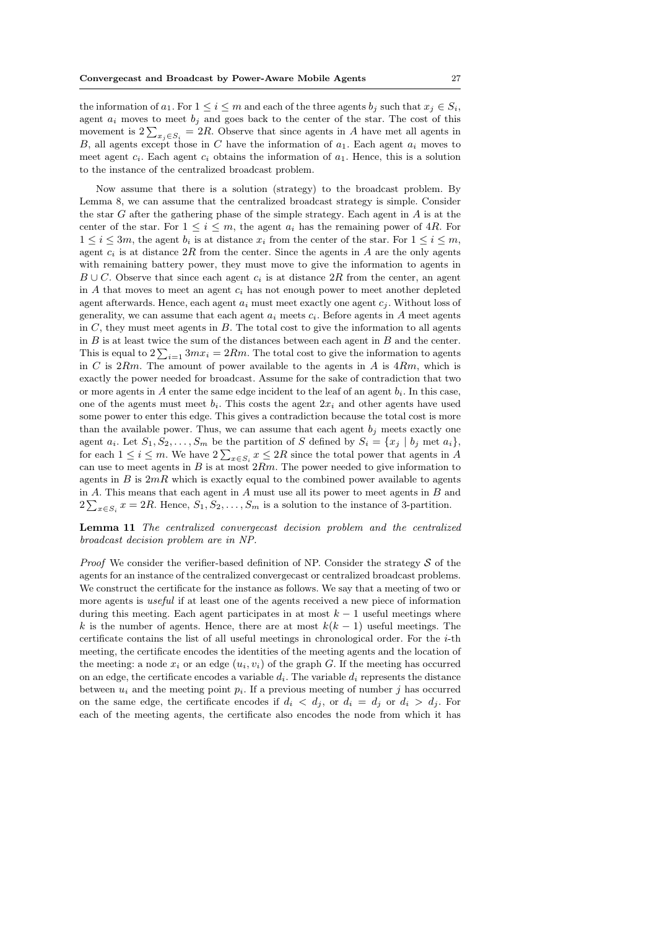the information of  $a_1$ . For  $1 \leq i \leq m$  and each of the three agents  $b_j$  such that  $x_j \in S_i$ , agent  $a_i$  moves to meet  $b_j$  and goes back to the center of the star. The cost of this movement is  $2\sum_{x_j \in S_i} = 2R$ . Observe that since agents in A have met all agents in B, all agents except those in C have the information of  $a_1$ . Each agent  $a_i$  moves to meet agent  $c_i$ . Each agent  $c_i$  obtains the information of  $a_1$ . Hence, this is a solution to the instance of the centralized broadcast problem.

Now assume that there is a solution (strategy) to the broadcast problem. By Lemma 8, we can assume that the centralized broadcast strategy is simple. Consider the star  $G$  after the gathering phase of the simple strategy. Each agent in  $A$  is at the center of the star. For  $1 \leq i \leq m$ , the agent  $a_i$  has the remaining power of 4R. For  $1 \leq i \leq 3m$ , the agent  $b_i$  is at distance  $x_i$  from the center of the star. For  $1 \leq i \leq m$ , agent  $c_i$  is at distance  $2R$  from the center. Since the agents in A are the only agents with remaining battery power, they must move to give the information to agents in  $B \cup C$ . Observe that since each agent  $c_i$  is at distance  $2R$  from the center, an agent in  $A$  that moves to meet an agent  $c_i$  has not enough power to meet another depleted agent afterwards. Hence, each agent  $a_i$  must meet exactly one agent  $c_j$ . Without loss of generality, we can assume that each agent  $a_i$  meets  $c_i$ . Before agents in A meet agents in  $C$ , they must meet agents in  $B$ . The total cost to give the information to all agents in  $B$  is at least twice the sum of the distances between each agent in  $B$  and the center. This is equal to  $2\sum_{i=1} 3mx_i = 2Rm$ . The total cost to give the information to agents in C is  $2Rm$ . The amount of power available to the agents in A is  $4Rm$ , which is exactly the power needed for broadcast. Assume for the sake of contradiction that two or more agents in A enter the same edge incident to the leaf of an agent  $b_i$ . In this case, one of the agents must meet  $b_i$ . This costs the agent  $2x_i$  and other agents have used some power to enter this edge. This gives a contradiction because the total cost is more than the available power. Thus, we can assume that each agent  $b_j$  meets exactly one agent  $a_i$ . Let  $S_1, S_2, \ldots, S_m$  be the partition of S defined by  $S_i = \{x_i \mid b_i \text{ met } a_i\},$ for each  $1 \leq i \leq m$ . We have  $2 \sum_{x \in S_i} x \leq 2R$  since the total power that agents in A can use to meet agents in B is at most  $2Rm$ . The power needed to give information to agents in  $B$  is  $2mR$  which is exactly equal to the combined power available to agents in  $A$ . This means that each agent in  $A$  must use all its power to meet agents in  $B$  and  $2\sum_{x\in S_i} x = 2R$ . Hence,  $S_1, S_2, \ldots, S_m$  is a solution to the instance of 3-partition.

Lemma 11 The centralized convergecast decision problem and the centralized broadcast decision problem are in NP.

*Proof* We consider the verifier-based definition of NP. Consider the strategy  $S$  of the agents for an instance of the centralized convergecast or centralized broadcast problems. We construct the certificate for the instance as follows. We say that a meeting of two or more agents is *useful* if at least one of the agents received a new piece of information during this meeting. Each agent participates in at most  $k - 1$  useful meetings where k is the number of agents. Hence, there are at most  $k(k-1)$  useful meetings. The certificate contains the list of all useful meetings in chronological order. For the  $i$ -th meeting, the certificate encodes the identities of the meeting agents and the location of the meeting: a node  $x_i$  or an edge  $(u_i, v_i)$  of the graph G. If the meeting has occurred on an edge, the certificate encodes a variable  $d_i$ . The variable  $d_i$  represents the distance between  $u_i$  and the meeting point  $p_i$ . If a previous meeting of number j has occurred on the same edge, the certificate encodes if  $d_i < d_j$ , or  $d_i = d_j$  or  $d_i > d_j$ . For each of the meeting agents, the certificate also encodes the node from which it has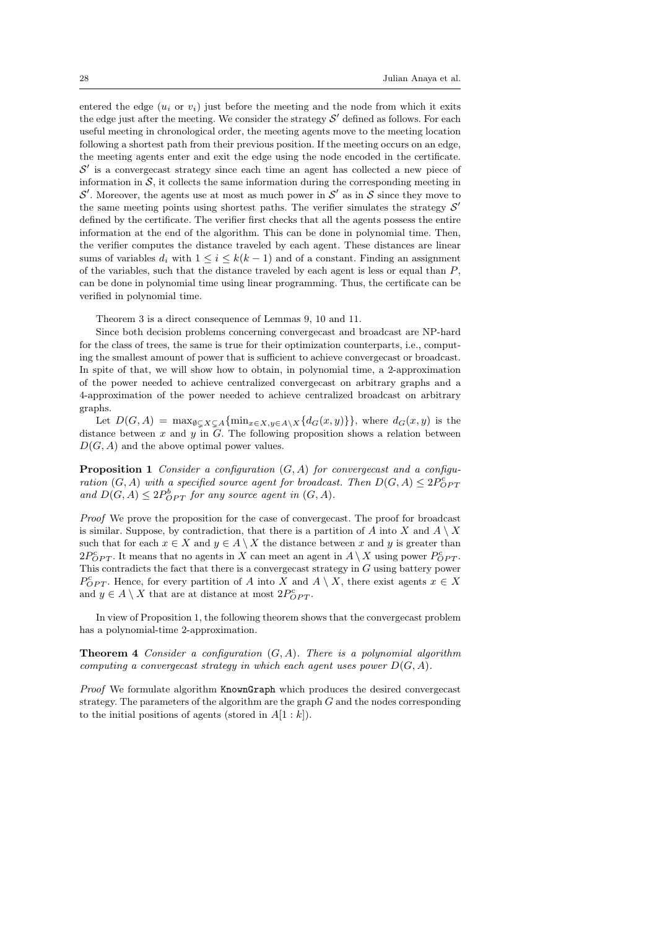entered the edge  $(u_i \text{ or } v_i)$  just before the meeting and the node from which it exits the edge just after the meeting. We consider the strategy  $\mathcal{S}'$  defined as follows. For each useful meeting in chronological order, the meeting agents move to the meeting location following a shortest path from their previous position. If the meeting occurs on an edge, the meeting agents enter and exit the edge using the node encoded in the certificate.  $\mathcal{S}'$  is a converge cast strategy since each time an agent has collected a new piece of information in  $S$ , it collects the same information during the corresponding meeting in  $\mathcal{S}'$ . Moreover, the agents use at most as much power in  $\mathcal{S}'$  as in  $\mathcal{S}$  since they move to the same meeting points using shortest paths. The verifier simulates the strategy  $\mathcal{S}'$ defined by the certificate. The verifier first checks that all the agents possess the entire information at the end of the algorithm. This can be done in polynomial time. Then, the verifier computes the distance traveled by each agent. These distances are linear sums of variables  $d_i$  with  $1 \leq i \leq k(k-1)$  and of a constant. Finding an assignment of the variables, such that the distance traveled by each agent is less or equal than  $P$ , can be done in polynomial time using linear programming. Thus, the certificate can be verified in polynomial time.

Theorem 3 is a direct consequence of Lemmas 9, 10 and 11.

Since both decision problems concerning convergecast and broadcast are NP-hard for the class of trees, the same is true for their optimization counterparts, i.e., computing the smallest amount of power that is sufficient to achieve convergecast or broadcast. In spite of that, we will show how to obtain, in polynomial time, a 2-approximation of the power needed to achieve centralized convergecast on arbitrary graphs and a 4-approximation of the power needed to achieve centralized broadcast on arbitrary graphs.

Let  $D(G, A) = \max_{\emptyset \subsetneq X \subsetneq A} \{\min_{x \in X, y \in A \setminus X} \{d_G(x, y)\}\}\$ , where  $d_G(x, y)$  is the distance between x and y in  $\tilde{G}$ . The following proposition shows a relation between  $D(G, A)$  and the above optimal power values.

**Proposition 1** Consider a configuration  $(G, A)$  for convergecast and a configuration  $(G, A)$  with a specified source agent for broadcast. Then  $D(G, A) \leq 2P_{OPT}^c$ and  $D(G, A) \leq 2P_{OPT}^b$  for any source agent in  $(G, A)$ .

Proof We prove the proposition for the case of convergecast. The proof for broadcast is similar. Suppose, by contradiction, that there is a partition of A into X and  $A \setminus X$ such that for each  $x \in X$  and  $y \in A \setminus X$  the distance between x and y is greater than  $2P_{OPT}^c$ . It means that no agents in X can meet an agent in  $A \setminus X$  using power  $P_{OPT}^c$ . This contradicts the fact that there is a converge cast strategy in  $G$  using battery power  $P_{OPT}^c$ . Hence, for every partition of A into X and  $A \setminus X$ , there exist agents  $x \in X$ and  $y \in A \setminus X$  that are at distance at most  $2P_{OPT}^c$ .

In view of Proposition 1, the following theorem shows that the convergecast problem has a polynomial-time 2-approximation.

**Theorem 4** Consider a configuration  $(G, A)$ . There is a polynomial algorithm computing a converge cast strategy in which each agent uses power  $D(G, A)$ .

Proof We formulate algorithm KnownGraph which produces the desired convergecast strategy. The parameters of the algorithm are the graph  $G$  and the nodes corresponding to the initial positions of agents (stored in  $A[1:k]$ ).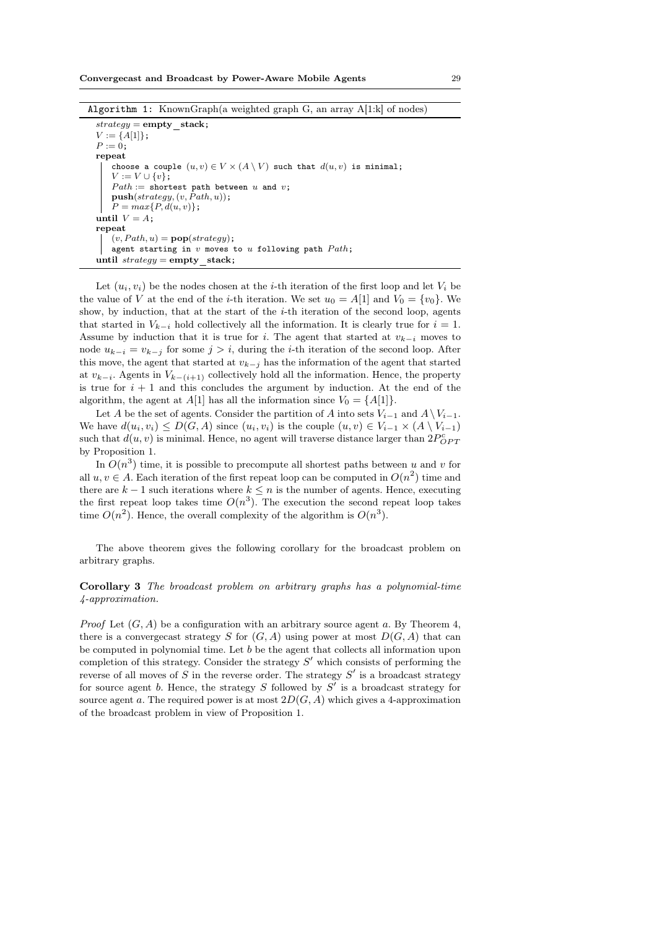Algorithm 1: KnownGraph(a weighted graph G, an array A[1:k] of nodes)

 $strategy = empty\_stack;$  $V := \{A[1]\};$  $P := 0$ ; repeat choose a couple  $(u, v) \in V \times (A \setminus V)$  such that  $d(u, v)$  is minimal;  $V := V \cup \{v\};$  $Path :=$  shortest path between u and v;  $push(strategy, (v, Path, u));$  $P = max\{P, d(u, v)\};$ until  $V = A$ : repeat  $(v, Path, u) = pop(strateqy);$ agent starting in  $v$  moves to  $u$  following path  $Path$ ; until  $strategy = empty$  stack;

Let  $(u_i, v_i)$  be the nodes chosen at the *i*-th iteration of the first loop and let  $V_i$  be the value of V at the end of the *i*-th iteration. We set  $u_0 = A[1]$  and  $V_0 = \{v_0\}$ . We show, by induction, that at the start of the  $i$ -th iteration of the second loop, agents that started in  $V_{k-i}$  hold collectively all the information. It is clearly true for  $i = 1$ . Assume by induction that it is true for i. The agent that started at  $v_{k-i}$  moves to node  $u_{k-i} = v_{k-j}$  for some  $j > i$ , during the *i*-th iteration of the second loop. After this move, the agent that started at  $v_{k-j}$  has the information of the agent that started at  $v_{k-i}$ . Agents in  $V_{k-(i+1)}$  collectively hold all the information. Hence, the property is true for  $i + 1$  and this concludes the argument by induction. At the end of the algorithm, the agent at  $A[1]$  has all the information since  $V_0 = \{A[1]\}.$ 

Let A be the set of agents. Consider the partition of A into sets  $V_{i-1}$  and  $A\setminus V_{i-1}$ . We have  $d(u_i, v_i) \leq D(G, A)$  since  $(u_i, v_i)$  is the couple  $(u, v) \in V_{i-1} \times (A \setminus V_{i-1})$ such that  $d(u, v)$  is minimal. Hence, no agent will traverse distance larger than  $2P_{OPT}^c$ by Proposition 1.

In  $O(n^3)$  time, it is possible to precompute all shortest paths between u and v for all  $u, v \in A$ . Each iteration of the first repeat loop can be computed in  $O(n^2)$  time and there are  $k-1$  such iterations where  $k \leq n$  is the number of agents. Hence, executing the first repeat loop takes time  $O(n^3)$ . The execution the second repeat loop takes time  $O(n^2)$ . Hence, the overall complexity of the algorithm is  $O(n^3)$ .

The above theorem gives the following corollary for the broadcast problem on arbitrary graphs.

Corollary 3 The broadcast problem on arbitrary graphs has a polynomial-time 4-approximation.

*Proof* Let  $(G, A)$  be a configuration with an arbitrary source agent a. By Theorem 4, there is a converge cast strategy S for  $(G, A)$  using power at most  $D(G, A)$  that can be computed in polynomial time. Let  $b$  be the agent that collects all information upon completion of this strategy. Consider the strategy  $S'$  which consists of performing the reverse of all moves of S in the reverse order. The strategy  $S'$  is a broadcast strategy for source agent b. Hence, the strategy  $S$  followed by  $S'$  is a broadcast strategy for source agent a. The required power is at most  $2D(G, A)$  which gives a 4-approximation of the broadcast problem in view of Proposition 1.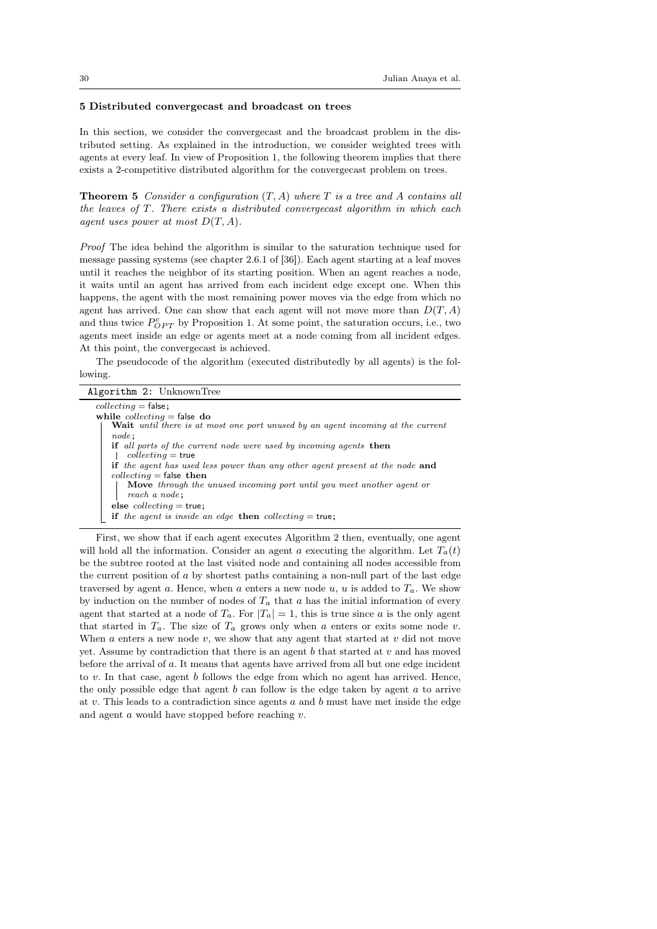#### 5 Distributed convergecast and broadcast on trees

In this section, we consider the convergecast and the broadcast problem in the distributed setting. As explained in the introduction, we consider weighted trees with agents at every leaf. In view of Proposition 1, the following theorem implies that there exists a 2-competitive distributed algorithm for the convergecast problem on trees.

**Theorem 5** Consider a configuration  $(T, A)$  where T is a tree and A contains all the leaves of T. There exists a distributed convergecast algorithm in which each agent uses power at most  $D(T, A)$ .

Proof The idea behind the algorithm is similar to the saturation technique used for message passing systems (see chapter 2.6.1 of [36]). Each agent starting at a leaf moves until it reaches the neighbor of its starting position. When an agent reaches a node, it waits until an agent has arrived from each incident edge except one. When this happens, the agent with the most remaining power moves via the edge from which no agent has arrived. One can show that each agent will not move more than  $D(T, A)$ and thus twice  $P_{OPT}^c$  by Proposition 1. At some point, the saturation occurs, i.e., two agents meet inside an edge or agents meet at a node coming from all incident edges. At this point, the convergecast is achieved.

The pseudocode of the algorithm (executed distributedly by all agents) is the following.

| Algorithm 2: UnknownTree                                                               |  |  |
|----------------------------------------------------------------------------------------|--|--|
| $collecting = false;$                                                                  |  |  |
| while <i>collecting</i> = false do                                                     |  |  |
| <b>Wait</b> until there is at most one port unused by an agent incoming at the current |  |  |
| node:                                                                                  |  |  |
| <b>if</b> all ports of the current node were used by incoming agents then              |  |  |
| $collecting = true$                                                                    |  |  |
| <b>if</b> the agent has used less power than any other agent present at the node and   |  |  |
| $collecting = false$ then                                                              |  |  |
| Move through the unused incoming port until you meet another agent or                  |  |  |
| reach a node;                                                                          |  |  |
| else <i>collecting</i> = true;                                                         |  |  |
| if the agent is inside an edge then collecting $=$ true;                               |  |  |
|                                                                                        |  |  |

First, we show that if each agent executes Algorithm 2 then, eventually, one agent will hold all the information. Consider an agent a executing the algorithm. Let  $T_a(t)$ be the subtree rooted at the last visited node and containing all nodes accessible from the current position of a by shortest paths containing a non-null part of the last edge traversed by agent a. Hence, when a enters a new node u, u is added to  $T_a$ . We show by induction on the number of nodes of  $T_a$  that a has the initial information of every agent that started at a node of  $T_a$ . For  $|T_a| = 1$ , this is true since a is the only agent that started in  $T_a$ . The size of  $T_a$  grows only when a enters or exits some node v. When  $a$  enters a new node  $v$ , we show that any agent that started at  $v$  did not move yet. Assume by contradiction that there is an agent  $b$  that started at  $v$  and has moved before the arrival of a. It means that agents have arrived from all but one edge incident to v. In that case, agent b follows the edge from which no agent has arrived. Hence, the only possible edge that agent  $b$  can follow is the edge taken by agent  $a$  to arrive at  $v$ . This leads to a contradiction since agents  $a$  and  $b$  must have met inside the edge and agent  $a$  would have stopped before reaching  $v$ .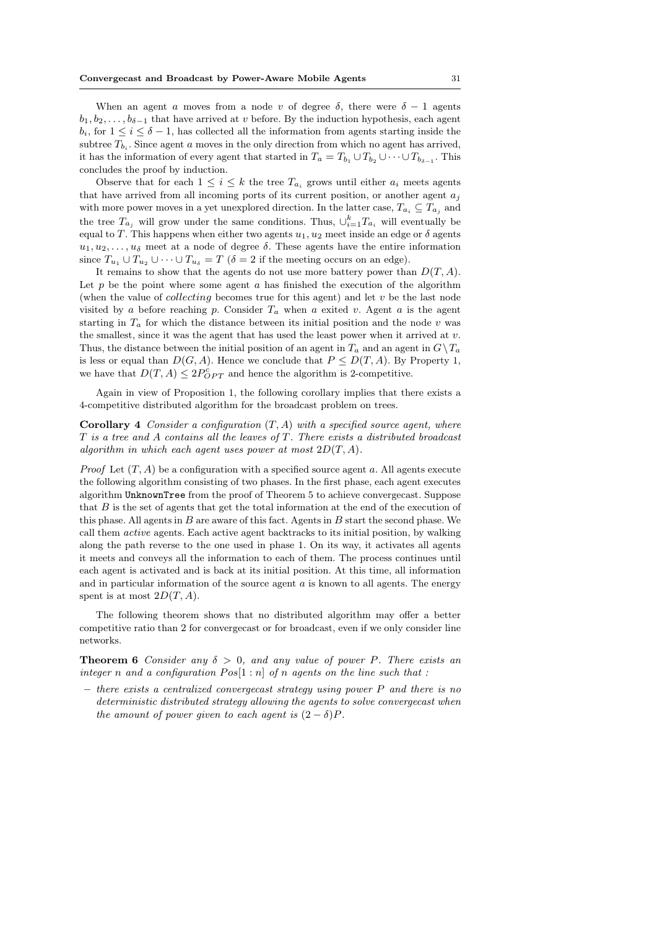When an agent a moves from a node v of degree  $\delta$ , there were  $\delta - 1$  agents  $b_1, b_2, \ldots, b_{\delta-1}$  that have arrived at v before. By the induction hypothesis, each agent  $b_i$ , for  $1 \leq i \leq \delta - 1$ , has collected all the information from agents starting inside the subtree  $T_{b_i}$ . Since agent a moves in the only direction from which no agent has arrived, it has the information of every agent that started in  $T_a = T_{b_1} \cup T_{b_2} \cup \cdots \cup T_{b_{\delta-1}}$ . This concludes the proof by induction.

Observe that for each  $1 \leq i \leq k$  the tree  $T_{a_i}$  grows until either  $a_i$  meets agents that have arrived from all incoming ports of its current position, or another agent  $a_j$ with more power moves in a yet unexplored direction. In the latter case,  $T_{a_i} \subseteq T_{a_j}$  and the tree  $T_{a_j}$  will grow under the same conditions. Thus,  $\bigcup_{i=1}^k T_{a_i}$  will eventually be equal to T. This happens when either two agents  $u_1, u_2$  meet inside an edge or  $\delta$  agents  $u_1, u_2, \ldots, u_\delta$  meet at a node of degree  $\delta$ . These agents have the entire information since  $T_{u_1} \cup T_{u_2} \cup \cdots \cup T_{u_\delta} = T$  ( $\delta = 2$  if the meeting occurs on an edge).

It remains to show that the agents do not use more battery power than  $D(T, A)$ . Let  $p$  be the point where some agent  $a$  has finished the execution of the algorithm (when the value of *collecting* becomes true for this agent) and let  $v$  be the last node visited by a before reaching p. Consider  $T_a$  when a exited v. Agent a is the agent starting in  $T_a$  for which the distance between its initial position and the node v was the smallest, since it was the agent that has used the least power when it arrived at  $v$ . Thus, the distance between the initial position of an agent in  $T_a$  and an agent in  $G \setminus T_a$ is less or equal than  $D(G, A)$ . Hence we conclude that  $P \leq D(T, A)$ . By Property 1, we have that  $D(T, A) \leq 2P_{OPT}^c$  and hence the algorithm is 2-competitive.

Again in view of Proposition 1, the following corollary implies that there exists a 4-competitive distributed algorithm for the broadcast problem on trees.

**Corollary 4** Consider a configuration  $(T, A)$  with a specified source agent, where T is a tree and A contains all the leaves of T. There exists a distributed broadcast algorithm in which each agent uses power at most  $2D(T, A)$ .

*Proof* Let  $(T, A)$  be a configuration with a specified source agent a. All agents execute the following algorithm consisting of two phases. In the first phase, each agent executes algorithm UnknownTree from the proof of Theorem 5 to achieve convergecast. Suppose that B is the set of agents that get the total information at the end of the execution of this phase. All agents in  $B$  are aware of this fact. Agents in  $B$  start the second phase. We call them active agents. Each active agent backtracks to its initial position, by walking along the path reverse to the one used in phase 1. On its way, it activates all agents it meets and conveys all the information to each of them. The process continues until each agent is activated and is back at its initial position. At this time, all information and in particular information of the source agent  $a$  is known to all agents. The energy spent is at most  $2D(T, A)$ .

The following theorem shows that no distributed algorithm may offer a better competitive ratio than 2 for convergecast or for broadcast, even if we only consider line networks.

**Theorem 6** Consider any  $\delta > 0$ , and any value of power P. There exists an integer n and a configuration  $Pos[1:n]$  of n agents on the line such that :

 $-$  there exists a centralized converge cast strategy using power P and there is no deterministic distributed strategy allowing the agents to solve convergecast when the amount of power given to each agent is  $(2 - \delta)P$ .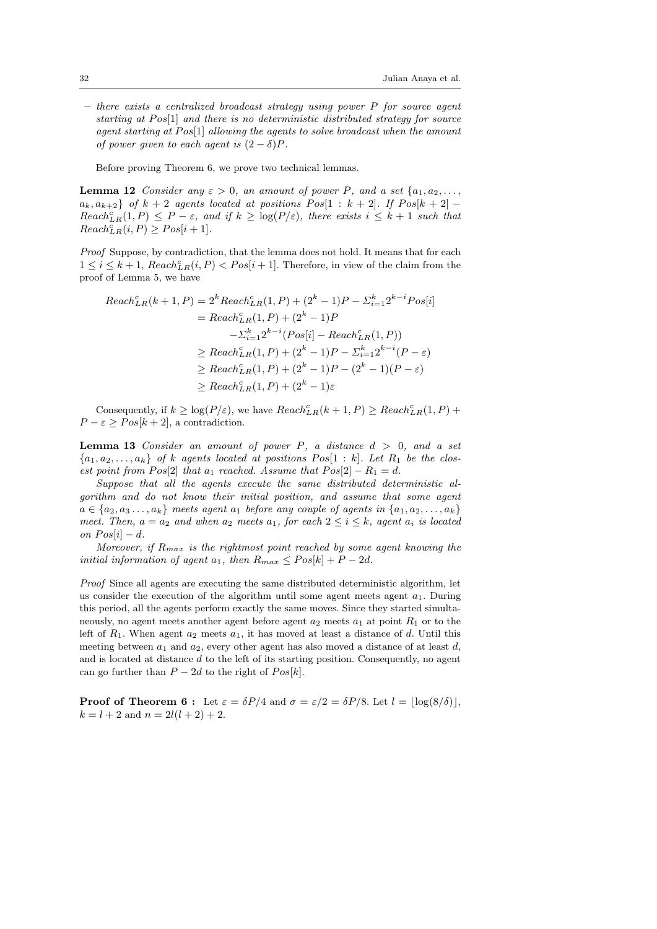$-$  there exists a centralized broadcast strategy using power P for source agent starting at  $Pos[1]$  and there is no deterministic distributed strategy for source agent starting at  $Pos[1]$  allowing the agents to solve broadcast when the amount of power given to each agent is  $(2 - \delta)P$ .

Before proving Theorem 6, we prove two technical lemmas.

**Lemma 12** Consider any  $\varepsilon > 0$ , an amount of power P, and a set  $\{a_1, a_2, \ldots, a_n\}$  $a_k, a_{k+2}$  of  $k+2$  agents located at positions  $Pos[1 : k+2]$ . If  $Pos[k+2]$  –  $Reach_{LR}^c(1, P) \leq P - \varepsilon$ , and if  $k \geq \log(P/\varepsilon)$ , there exists  $i \leq k+1$  such that  $Reach<sup>c</sup><sub>LR</sub>(i, P) \ge Pos[i + 1].$ 

Proof Suppose, by contradiction, that the lemma does not hold. It means that for each  $1 \leq i \leq k+1$ ,  $Reach_{LR}^{c}(i, P) < Pos[i+1]$ . Therefore, in view of the claim from the proof of Lemma 5, we have

$$
Reach_{LR}^c(k+1, P) = 2^kReach_{LR}^c(1, P) + (2^k - 1)P - \sum_{i=1}^k 2^{k-i}Pos[i]
$$
  
=  $Reach_{LR}^c(1, P) + (2^k - 1)P$   

$$
- \sum_{i=1}^k 2^{k-i} (Pos[i] - Reach_{LR}^c(1, P))
$$
  

$$
\geq Reach_{LR}^c(1, P) + (2^k - 1)P - \sum_{i=1}^k 2^{k-i} (P - \varepsilon)
$$
  

$$
\geq Reach_{LR}^c(1, P) + (2^k - 1)P - (2^k - 1)(P - \varepsilon)
$$
  

$$
\geq Reach_{LR}^c(1, P) + (2^k - 1)\varepsilon
$$

Consequently, if  $k \geq \log(P/\varepsilon)$ , we have  $Reach_{LR}^c(k+1, P) \geqReach_{LR}^c(1, P)$  +  $P - \varepsilon \geq Pos[k+2]$ , a contradiction.

**Lemma 13** Consider an amount of power P, a distance  $d > 0$ , and a set  ${a_1, a_2, \ldots, a_k}$  of k agents located at positions  $Pos[1:k]$ . Let  $R_1$  be the closest point from Pos[2] that a<sub>1</sub> reached. Assume that  $Pos[2] - R_1 = d$ .

Suppose that all the agents execute the same distributed deterministic algorithm and do not know their initial position, and assume that some agent  $a \in \{a_2, a_3, \ldots, a_k\}$  meets agent  $a_1$  before any couple of agents in  $\{a_1, a_2, \ldots, a_k\}$ meet. Then,  $a = a_2$  and when  $a_2$  meets  $a_1$ , for each  $2 \leq i \leq k$ , agent  $a_i$  is located on  $Pos[i] - d$ .

Moreover, if  $R_{max}$  is the rightmost point reached by some agent knowing the initial information of agent  $a_1$ , then  $R_{max} \leq Pos[k] + P - 2d$ .

Proof Since all agents are executing the same distributed deterministic algorithm, let us consider the execution of the algorithm until some agent meets agent  $a_1$ . During this period, all the agents perform exactly the same moves. Since they started simultaneously, no agent meets another agent before agent  $a_2$  meets  $a_1$  at point  $R_1$  or to the left of  $R_1$ . When agent  $a_2$  meets  $a_1$ , it has moved at least a distance of d. Until this meeting between  $a_1$  and  $a_2$ , every other agent has also moved a distance of at least d, and is located at distance  $d$  to the left of its starting position. Consequently, no agent can go further than  $P - 2d$  to the right of  $Pos[k]$ .

**Proof of Theorem 6 :** Let  $\varepsilon = \delta P/4$  and  $\sigma = \varepsilon/2 = \delta P/8$ . Let  $l = |\log(8/\delta)|$ ,  $k = l + 2$  and  $n = 2l(l + 2) + 2$ .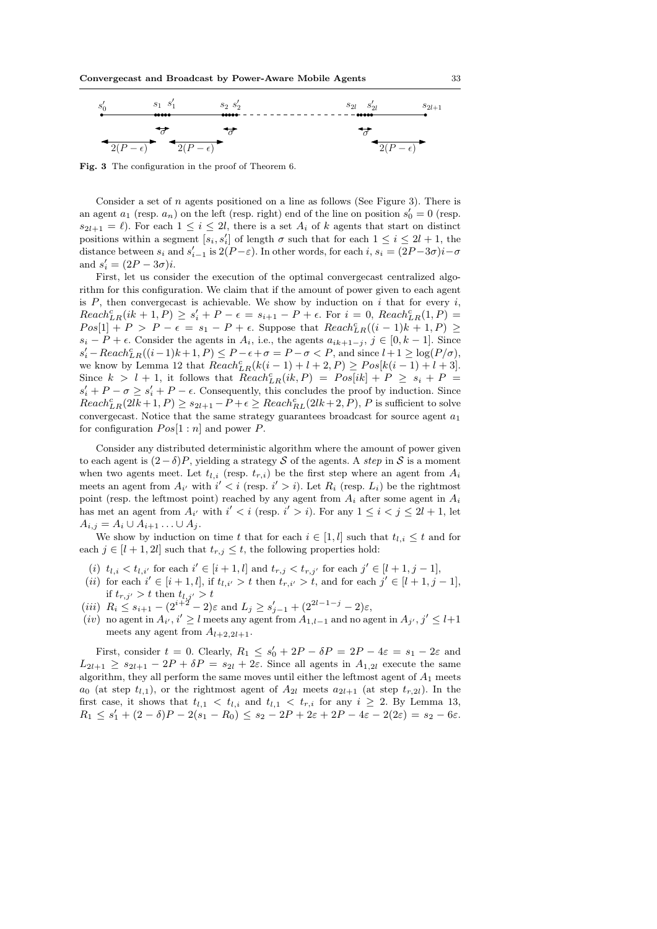

Fig. 3 The configuration in the proof of Theorem 6.

Consider a set of  $n$  agents positioned on a line as follows (See Figure 3). There is an agent  $a_1$  (resp.  $a_n$ ) on the left (resp. right) end of the line on position  $s'_0 = 0$  (resp.  $s_{2l+1} = \ell$ ). For each  $1 \leq i \leq 2l$ , there is a set  $A_i$  of k agents that start on distinct positions within a segment  $[s_i, s'_i]$  of length  $\sigma$  such that for each  $1 \leq i \leq 2l + 1$ , the distance between  $s_i$  and  $s'_{i-1}$  is  $2(P-\varepsilon)$ . In other words, for each  $i, s_i = (2P-3\sigma)i-\sigma$ and  $s_i' = (2P - 3\sigma)i$ .

First, let us consider the execution of the optimal convergecast centralized algorithm for this configuration. We claim that if the amount of power given to each agent is  $P$ , then convergecast is achievable. We show by induction on i that for every i,  $Reach_{LR}^c(ik + 1, P) \ge s'_i + P - \epsilon = s_{i+1} - P + \epsilon$ . For  $i = 0$ ,  $Reach_{LR}^c(1, P) =$  $Pos[1] + P > P - \epsilon = s_1 - P + \epsilon$ . Suppose that  $Reach_{LR}^c((i-1)k+1, P) \ge$  $s_i - P + \epsilon$ . Consider the agents in  $A_i$ , i.e., the agents  $a_{ik+1-j}$ ,  $j \in [0, k-1]$ . Since  $s_i' - Reach_{LR}^c((i-1)k+1, P) \le P - \epsilon + \sigma = P - \sigma < P$ , and since  $l+1 \ge \log(P/\sigma)$ , we know by Lemma 12 that  $Reach_{LR}^c(k(i-1) + l + 2, P) \ge Pos[k(i-1) + l + 3]$ . Since  $k > l + 1$ , it follows that  $Reach_{LR}^c(ik, P) = Pos[ik] + P \ge s_i + P =$  $s'_i + P - \sigma \geq s'_i + P - \epsilon$ . Consequently, this concludes the proof by induction. Since  $Reach_{LR}^c(2lk+1, P) \geq s_{2l+1} - P + \epsilon \geqReach_{RL}^c(2lk+2, P), P$  is sufficient to solve convergecast. Notice that the same strategy guarantees broadcast for source agent  $a_1$ for configuration  $Pos[1:n]$  and power P.

Consider any distributed deterministic algorithm where the amount of power given to each agent is  $(2-\delta)P$ , yielding a strategy S of the agents. A step in S is a moment when two agents meet. Let  $t_{l,i}$  (resp.  $t_{r,i}$ ) be the first step where an agent from  $A_i$ meets an agent from  $A_{i'}$  with  $i' < i$  (resp.  $i' > i$ ). Let  $R_i$  (resp.  $L_i$ ) be the rightmost point (resp. the leftmost point) reached by any agent from  $A_i$  after some agent in  $A_i$ has met an agent from  $A_{i'}$  with  $i' < i$  (resp.  $i' > i$ ). For any  $1 \leq i < j \leq 2l + 1$ , let  $A_{i,j} = A_i \cup A_{i+1} \ldots \cup A_j.$ 

We show by induction on time t that for each  $i \in [1, l]$  such that  $t_{l,i} \leq t$  and for each  $j \in [l + 1, 2l]$  such that  $t_{r,j} \leq t$ , the following properties hold:

- (i)  $t_{l,i} < t_{l,i'}$  for each  $i' \in [i+1, l]$  and  $t_{r,j} < t_{r,j'}$  for each  $j' \in [l+1, j-1]$ ,
- (*ii*) for each  $i' \in [i+1, l]$ , if  $t_{l,i'} > t$  then  $t_{r,i'} > t$ , and for each  $j' \in [l+1, j-1]$ , if  $t_{r,j'} > t$  then  $t_{l,j'} > t$
- (iii)  $R_i \leq s_{i+1} (2^{i+2} 2)\varepsilon$  and  $L_j \geq s'_{j-1} + (2^{2l-1-j} 2)\varepsilon$ ,
- $(iv)$  no agent in  $A_{i'}$ ,  $i' \geq l$  meets any agent from  $A_{1,l-1}$  and no agent in  $A_{j'}$ ,  $j' \leq l+1$ meets any agent from  $A_{l+2,2l+1}$ .

First, consider  $t = 0$ . Clearly,  $R_1 \leq s'_0 + 2P - \delta P = 2P - 4\varepsilon = s_1 - 2\varepsilon$  and  $L_{2l+1} \geq s_{2l+1} - 2P + \delta P = s_{2l} + 2\varepsilon$ . Since all agents in  $A_{1,2l}$  execute the same algorithm, they all perform the same moves until either the leftmost agent of  $A_1$  meets  $a_0$  (at step  $t_{l,1}$ ), or the rightmost agent of  $A_{2l}$  meets  $a_{2l+1}$  (at step  $t_{r,2l}$ ). In the first case, it shows that  $t_{l,1} < t_{l,i}$  and  $t_{l,1} < t_{r,i}$  for any  $i \geq 2$ . By Lemma 13,  $R_1 \leq s_1' + (2 - \delta)P - 2(s_1 - R_0) \leq s_2 - 2P + 2\varepsilon + 2P - 4\varepsilon - 2(2\varepsilon) = s_2 - 6\varepsilon.$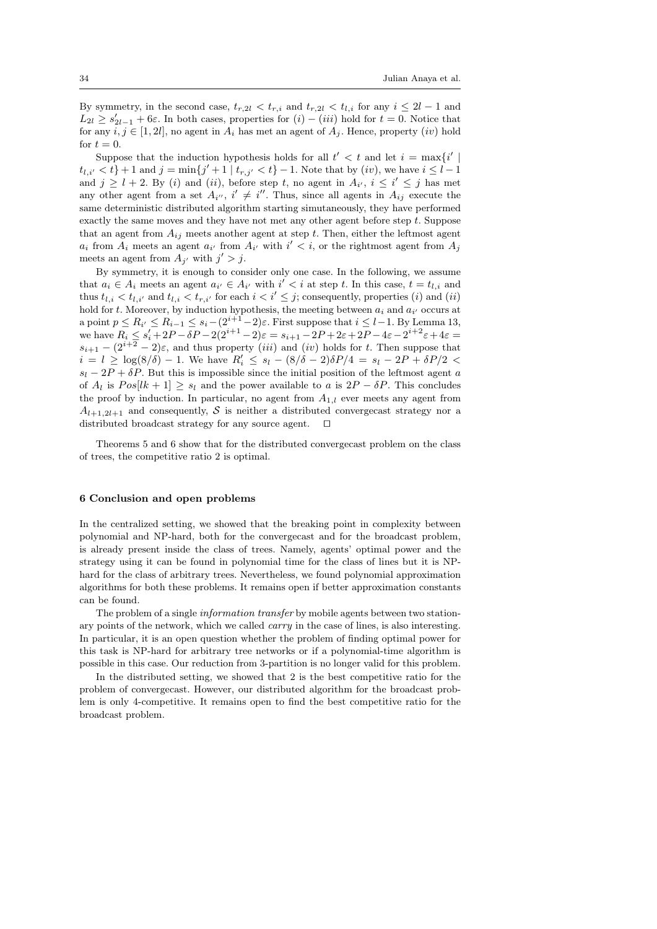By symmetry, in the second case,  $t_{r,2l} < t_{r,i}$  and  $t_{r,2l} < t_{l,i}$  for any  $i \leq 2l - 1$  and  $L_{2l} \geq s'_{2l-1} + 6\varepsilon$ . In both cases, properties for  $(i) - (iii)$  hold for  $t = 0$ . Notice that for any  $i, j \in [1, 2l]$ , no agent in  $A_i$  has met an agent of  $A_j$ . Hence, property  $(iv)$  hold for  $t = 0$ .

Suppose that the induction hypothesis holds for all  $t' < t$  and let  $i = \max\{i' \mid t\}$  $t_{l,i'} < t$ } + 1 and  $j = \min\{j' + 1 \mid t_{r,j'} < t\} - 1$ . Note that by  $(iv)$ , we have  $i \le l - 1$ and  $j \geq l+2$ . By (i) and (ii), before step t, no agent in  $A_{i'}$ ,  $i \leq i' \leq j$  has met any other agent from a set  $A_{i''}, i' \neq i''$ . Thus, since all agents in  $A_{ij}$  execute the same deterministic distributed algorithm starting simutaneously, they have performed exactly the same moves and they have not met any other agent before step  $t$ . Suppose that an agent from  $A_{ij}$  meets another agent at step t. Then, either the leftmost agent  $a_i$  from  $A_i$  meets an agent  $a_{i'}$  from  $A_{i'}$  with  $i' < i$ , or the rightmost agent from  $A_j$ meets an agent from  $A_{j'}$  with  $j' > j$ .

By symmetry, it is enough to consider only one case. In the following, we assume that  $a_i \in A_i$  meets an agent  $a_{i'} \in A_{i'}$  with  $i' < i$  at step t. In this case,  $t = t_{l,i}$  and thus  $t_{l,i} < t_{l,i'}$  and  $t_{l,i} < t_{r,i'}$  for each  $i < i' \leq j$ ; consequently, properties (i) and (ii) hold for t. Moreover, by induction hypothesis, the meeting between  $a_i$  and  $a_{i'}$  occurs at a point  $p \le R_{i'} \le R_{i-1} \le s_i - (2^{i+1}-2)\varepsilon$ . First suppose that  $i \le l-1$ . By Lemma 13, we have  $R_i \le s_i' + 2P - \delta P - 2(2^{i+1} - 2)\varepsilon = s_{i+1} - 2P + 2\varepsilon + 2P - 4\varepsilon - 2^{i+2}\varepsilon + 4\varepsilon =$  $s_{i+1} - (2^{i+2} - 2)\varepsilon$ , and thus property *(iii)* and *(iv)* holds for t. Then suppose that  $i = l \geq \log(8/\delta) - 1$ . We have  $R'_i \leq s_l - (8/\delta - 2)\delta P/4 = s_l - 2P + \delta P/2$  $s_l - 2P + \delta P$ . But this is impossible since the initial position of the leftmost agent a of  $A_l$  is  $Pos[lk+1] \geq s_l$  and the power available to a is  $2P - \delta P$ . This concludes the proof by induction. In particular, no agent from  $A_{1,l}$  ever meets any agent from  $A_{l+1,2l+1}$  and consequently, S is neither a distributed converge cast strategy nor a distributed broadcast strategy for any source agent.  $\Box$ 

Theorems 5 and 6 show that for the distributed convergecast problem on the class of trees, the competitive ratio 2 is optimal.

# 6 Conclusion and open problems

In the centralized setting, we showed that the breaking point in complexity between polynomial and NP-hard, both for the convergecast and for the broadcast problem, is already present inside the class of trees. Namely, agents' optimal power and the strategy using it can be found in polynomial time for the class of lines but it is NPhard for the class of arbitrary trees. Nevertheless, we found polynomial approximation algorithms for both these problems. It remains open if better approximation constants can be found.

The problem of a single *information transfer* by mobile agents between two stationary points of the network, which we called carry in the case of lines, is also interesting. In particular, it is an open question whether the problem of finding optimal power for this task is NP-hard for arbitrary tree networks or if a polynomial-time algorithm is possible in this case. Our reduction from 3-partition is no longer valid for this problem.

In the distributed setting, we showed that 2 is the best competitive ratio for the problem of convergecast. However, our distributed algorithm for the broadcast problem is only 4-competitive. It remains open to find the best competitive ratio for the broadcast problem.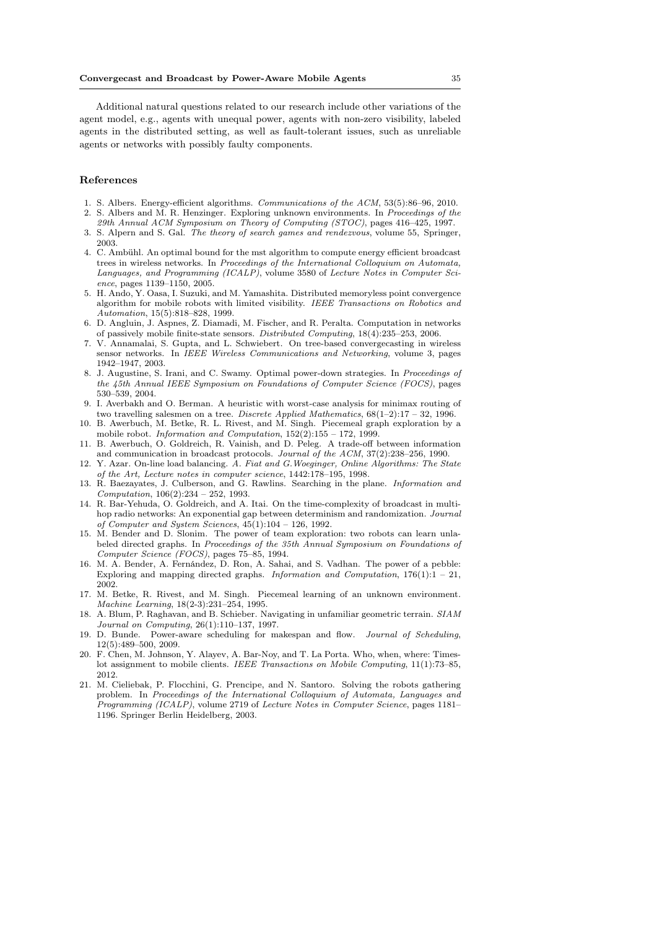Additional natural questions related to our research include other variations of the agent model, e.g., agents with unequal power, agents with non-zero visibility, labeled agents in the distributed setting, as well as fault-tolerant issues, such as unreliable agents or networks with possibly faulty components.

# References

- 1. S. Albers. Energy-efficient algorithms. Communications of the ACM, 53(5):86–96, 2010.
- 2. S. Albers and M. R. Henzinger. Exploring unknown environments. In Proceedings of the 29th Annual ACM Symposium on Theory of Computing (STOC), pages 416–425, 1997.
- 3. S. Alpern and S. Gal. The theory of search games and rendezvous, volume 55, Springer, 2003.
- 4. C. Ambühl. An optimal bound for the mst algorithm to compute energy efficient broadcast trees in wireless networks. In Proceedings of the International Colloquium on Automata, Languages, and Programming (ICALP), volume 3580 of Lecture Notes in Computer Science, pages 1139–1150, 2005.
- 5. H. Ando, Y. Oasa, I. Suzuki, and M. Yamashita. Distributed memoryless point convergence algorithm for mobile robots with limited visibility. IEEE Transactions on Robotics and Automation, 15(5):818–828, 1999.
- 6. D. Angluin, J. Aspnes, Z. Diamadi, M. Fischer, and R. Peralta. Computation in networks of passively mobile finite-state sensors. Distributed Computing, 18(4):235–253, 2006.
- 7. V. Annamalai, S. Gupta, and L. Schwiebert. On tree-based convergecasting in wireless sensor networks. In IEEE Wireless Communications and Networking, volume 3, pages 1942–1947, 2003.
- 8. J. Augustine, S. Irani, and C. Swamy. Optimal power-down strategies. In Proceedings of the 45th Annual IEEE Symposium on Foundations of Computer Science (FOCS), pages 530–539, 2004.
- 9. I. Averbakh and O. Berman. A heuristic with worst-case analysis for minimax routing of two travelling salesmen on a tree. Discrete Applied Mathematics,  $68(1-2)$ :17 – 32, 1996.
- 10. B. Awerbuch, M. Betke, R. L. Rivest, and M. Singh. Piecemeal graph exploration by a mobile robot. *Information and Computation*,  $152(2)$ : $155 - 172$ , 1999.
- 11. B. Awerbuch, O. Goldreich, R. Vainish, and D. Peleg. A trade-off between information and communication in broadcast protocols. Journal of the ACM, 37(2):238–256, 1990.
- 12. Y. Azar. On-line load balancing. A. Fiat and G.Woeginger, Online Algorithms: The State of the Art, Lecture notes in computer science, 1442:178–195, 1998.
- 13. R. Baezayates, J. Culberson, and G. Rawlins. Searching in the plane. Information and Computation, 106(2):234 – 252, 1993.
- 14. R. Bar-Yehuda, O. Goldreich, and A. Itai. On the time-complexity of broadcast in multihop radio networks: An exponential gap between determinism and randomization. Journal of Computer and System Sciences, 45(1):104 – 126, 1992.
- 15. M. Bender and D. Slonim. The power of team exploration: two robots can learn unlabeled directed graphs. In Proceedings of the 35th Annual Symposium on Foundations of Computer Science (FOCS), pages 75–85, 1994.
- 16. M. A. Bender, A. Fernández, D. Ron, A. Sahai, and S. Vadhan. The power of a pebble: Exploring and mapping directed graphs. *Information and Computation*,  $176(1):1 - 21$ , 2002.
- 17. M. Betke, R. Rivest, and M. Singh. Piecemeal learning of an unknown environment. Machine Learning, 18(2-3):231–254, 1995.
- 18. A. Blum, P. Raghavan, and B. Schieber. Navigating in unfamiliar geometric terrain. SIAM Journal on Computing, 26(1):110–137, 1997.
- 19. D. Bunde. Power-aware scheduling for makespan and flow. Journal of Scheduling, 12(5):489–500, 2009.
- 20. F. Chen, M. Johnson, Y. Alayev, A. Bar-Noy, and T. La Porta. Who, when, where: Timeslot assignment to mobile clients. IEEE Transactions on Mobile Computing, 11(1):73-85, 2012.
- 21. M. Cieliebak, P. Flocchini, G. Prencipe, and N. Santoro. Solving the robots gathering problem. In Proceedings of the International Colloquium of Automata, Languages and Programming (ICALP), volume 2719 of Lecture Notes in Computer Science, pages 1181– 1196. Springer Berlin Heidelberg, 2003.